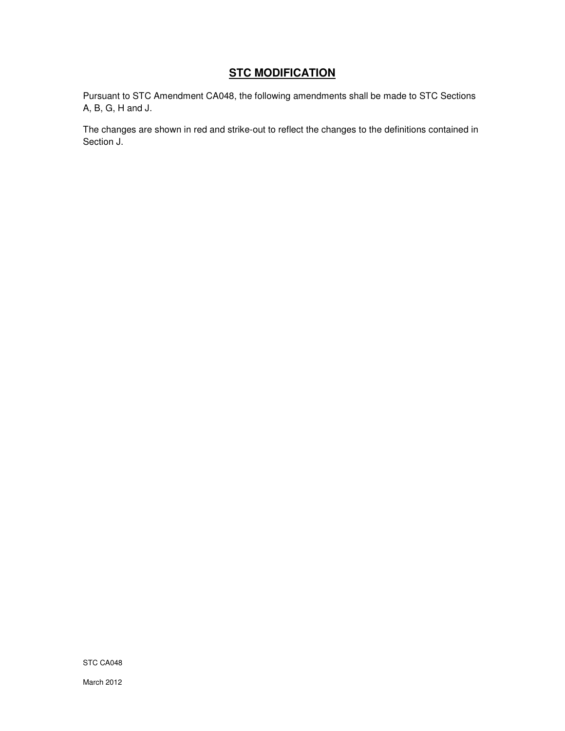# **STC MODIFICATION**

Pursuant to STC Amendment CA048, the following amendments shall be made to STC Sections A, B, G, H and J.

The changes are shown in red and strike-out to reflect the changes to the definitions contained in Section J.

STC CA048

March 2012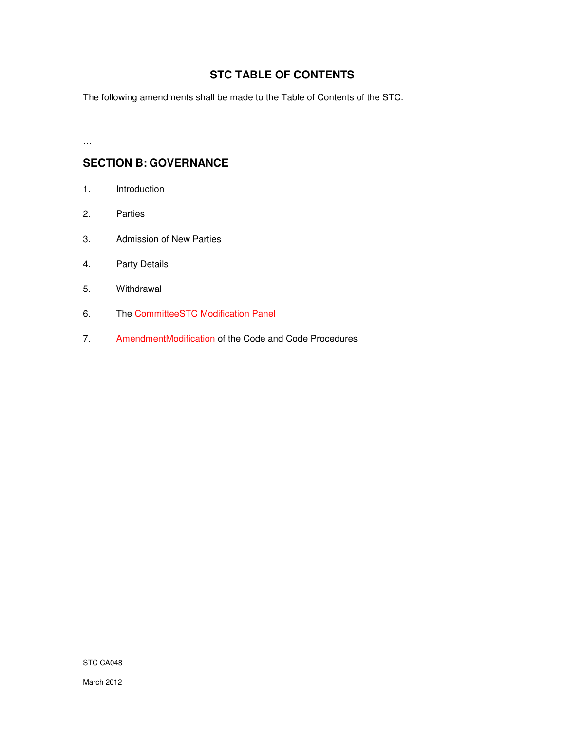# **STC TABLE OF CONTENTS**

The following amendments shall be made to the Table of Contents of the STC.

…

# **SECTION B: GOVERNANCE**

- 1. Introduction
- 2. Parties
- 3. Admission of New Parties
- 4. Party Details
- 5. Withdrawal
- 6. The CommitteeSTC Modification Panel
- 7. AmendmentModification of the Code and Code Procedures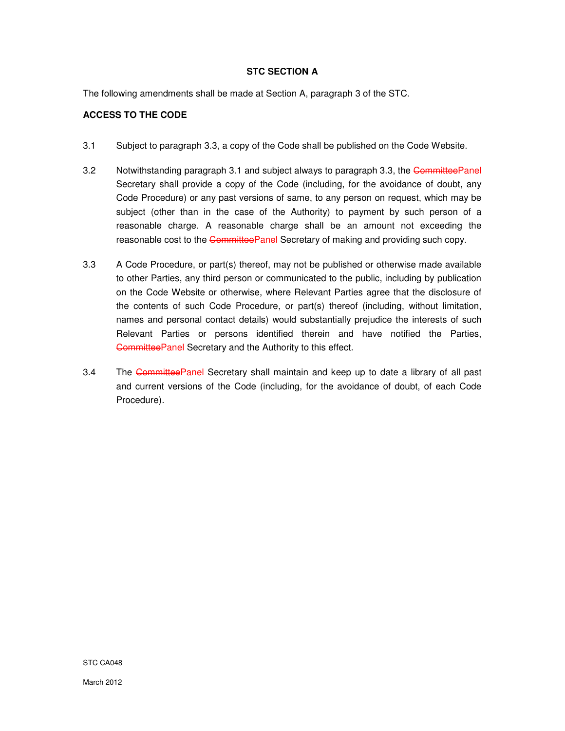# **STC SECTION A**

The following amendments shall be made at Section A, paragraph 3 of the STC.

# **ACCESS TO THE CODE**

- 3.1 Subject to paragraph 3.3, a copy of the Code shall be published on the Code Website.
- 3.2 Notwithstanding paragraph 3.1 and subject always to paragraph 3.3, the CommitteePanel Secretary shall provide a copy of the Code (including, for the avoidance of doubt, any Code Procedure) or any past versions of same, to any person on request, which may be subject (other than in the case of the Authority) to payment by such person of a reasonable charge. A reasonable charge shall be an amount not exceeding the reasonable cost to the CommitteePanel Secretary of making and providing such copy.
- 3.3 A Code Procedure, or part(s) thereof, may not be published or otherwise made available to other Parties, any third person or communicated to the public, including by publication on the Code Website or otherwise, where Relevant Parties agree that the disclosure of the contents of such Code Procedure, or part(s) thereof (including, without limitation, names and personal contact details) would substantially prejudice the interests of such Relevant Parties or persons identified therein and have notified the Parties, CommitteePanel Secretary and the Authority to this effect.
- 3.4 The Committee Panel Secretary shall maintain and keep up to date a library of all past and current versions of the Code (including, for the avoidance of doubt, of each Code Procedure).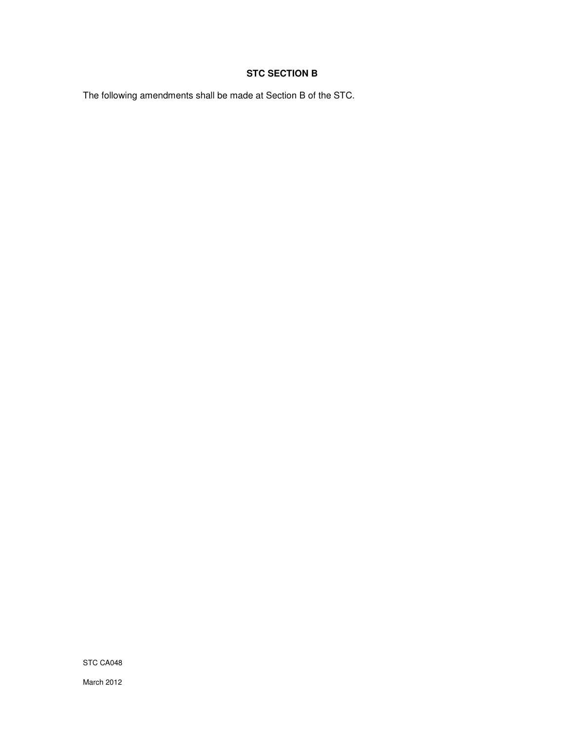# **STC SECTION B**

The following amendments shall be made at Section B of the STC.

STC CA048

March 2012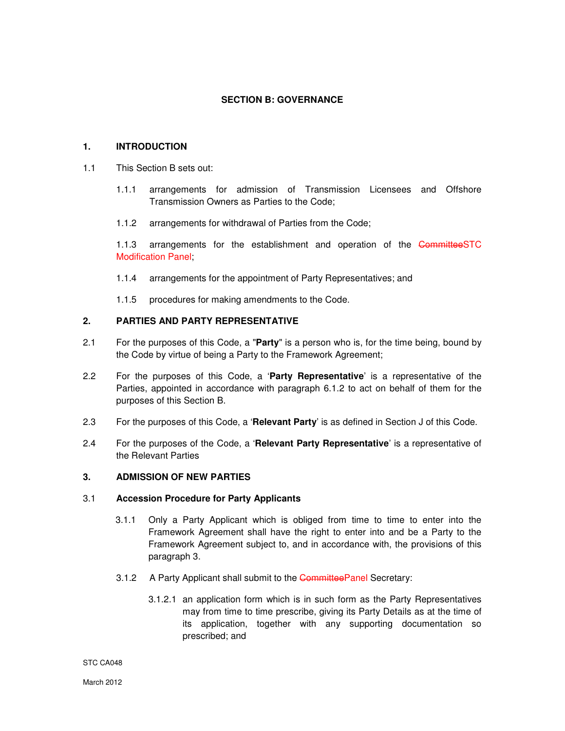# **SECTION B: GOVERNANCE**

# **1. INTRODUCTION**

- 1.1 This Section B sets out:
	- 1.1.1 arrangements for admission of Transmission Licensees and Offshore Transmission Owners as Parties to the Code;
	- 1.1.2 arrangements for withdrawal of Parties from the Code;

1.1.3 arrangements for the establishment and operation of the CommitteeSTC Modification Panel;

- 1.1.4 arrangements for the appointment of Party Representatives; and
- 1.1.5 procedures for making amendments to the Code.

# **2. PARTIES AND PARTY REPRESENTATIVE**

- 2.1 For the purposes of this Code, a "**Party**" is a person who is, for the time being, bound by the Code by virtue of being a Party to the Framework Agreement;
- 2.2 For the purposes of this Code, a '**Party Representative**' is a representative of the Parties, appointed in accordance with paragraph 6.1.2 to act on behalf of them for the purposes of this Section B.
- 2.3 For the purposes of this Code, a '**Relevant Party**' is as defined in Section J of this Code.
- 2.4 For the purposes of the Code, a '**Relevant Party Representative**' is a representative of the Relevant Parties

# **3. ADMISSION OF NEW PARTIES**

## 3.1 **Accession Procedure for Party Applicants**

- 3.1.1 Only a Party Applicant which is obliged from time to time to enter into the Framework Agreement shall have the right to enter into and be a Party to the Framework Agreement subject to, and in accordance with, the provisions of this paragraph 3.
- 3.1.2 A Party Applicant shall submit to the CommitteePanel Secretary:
	- 3.1.2.1 an application form which is in such form as the Party Representatives may from time to time prescribe, giving its Party Details as at the time of its application, together with any supporting documentation so prescribed; and

#### STC CA048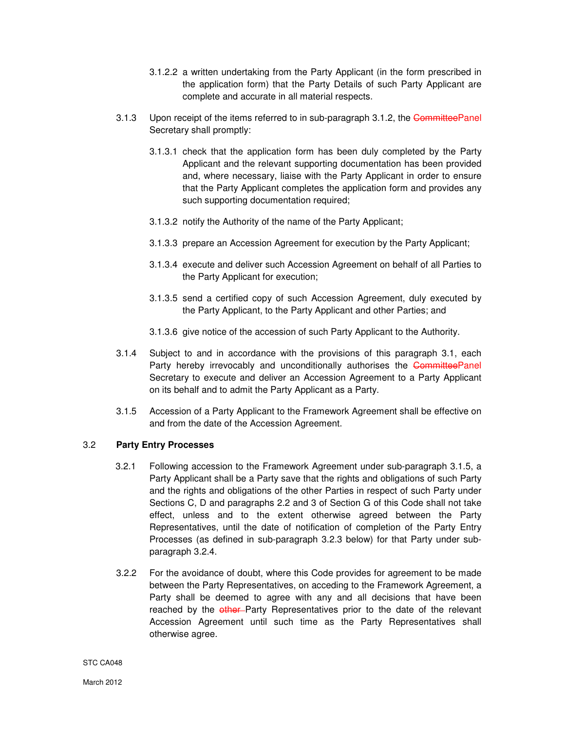- 3.1.2.2 a written undertaking from the Party Applicant (in the form prescribed in the application form) that the Party Details of such Party Applicant are complete and accurate in all material respects.
- 3.1.3 Upon receipt of the items referred to in sub-paragraph 3.1.2, the CommitteePanel Secretary shall promptly:
	- 3.1.3.1 check that the application form has been duly completed by the Party Applicant and the relevant supporting documentation has been provided and, where necessary, liaise with the Party Applicant in order to ensure that the Party Applicant completes the application form and provides any such supporting documentation required;
	- 3.1.3.2 notify the Authority of the name of the Party Applicant;
	- 3.1.3.3 prepare an Accession Agreement for execution by the Party Applicant;
	- 3.1.3.4 execute and deliver such Accession Agreement on behalf of all Parties to the Party Applicant for execution;
	- 3.1.3.5 send a certified copy of such Accession Agreement, duly executed by the Party Applicant, to the Party Applicant and other Parties; and
	- 3.1.3.6 give notice of the accession of such Party Applicant to the Authority.
- 3.1.4 Subject to and in accordance with the provisions of this paragraph 3.1, each Party hereby irrevocably and unconditionally authorises the CommitteePanel Secretary to execute and deliver an Accession Agreement to a Party Applicant on its behalf and to admit the Party Applicant as a Party.
- 3.1.5 Accession of a Party Applicant to the Framework Agreement shall be effective on and from the date of the Accession Agreement.

## 3.2 **Party Entry Processes**

- 3.2.1 Following accession to the Framework Agreement under sub-paragraph 3.1.5, a Party Applicant shall be a Party save that the rights and obligations of such Party and the rights and obligations of the other Parties in respect of such Party under Sections C, D and paragraphs 2.2 and 3 of Section G of this Code shall not take effect, unless and to the extent otherwise agreed between the Party Representatives, until the date of notification of completion of the Party Entry Processes (as defined in sub-paragraph 3.2.3 below) for that Party under subparagraph 3.2.4.
- 3.2.2 For the avoidance of doubt, where this Code provides for agreement to be made between the Party Representatives, on acceding to the Framework Agreement, a Party shall be deemed to agree with any and all decisions that have been reached by the other Party Representatives prior to the date of the relevant Accession Agreement until such time as the Party Representatives shall otherwise agree.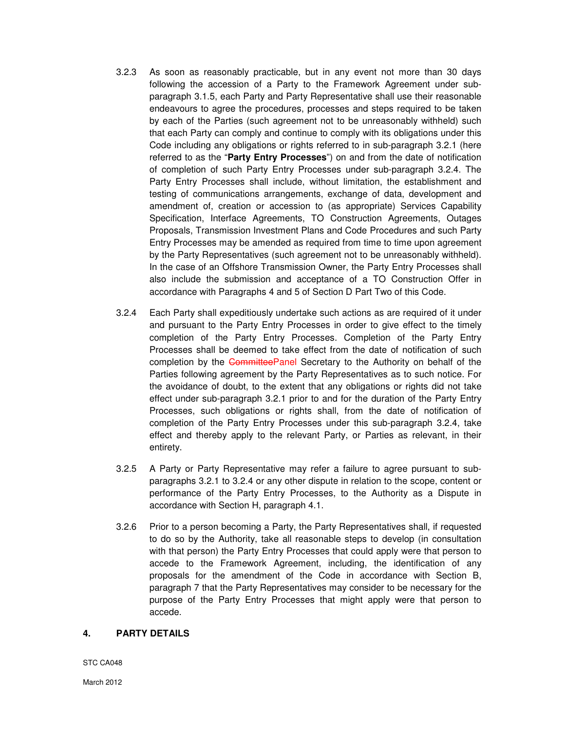- 3.2.3 As soon as reasonably practicable, but in any event not more than 30 days following the accession of a Party to the Framework Agreement under subparagraph 3.1.5, each Party and Party Representative shall use their reasonable endeavours to agree the procedures, processes and steps required to be taken by each of the Parties (such agreement not to be unreasonably withheld) such that each Party can comply and continue to comply with its obligations under this Code including any obligations or rights referred to in sub-paragraph 3.2.1 (here referred to as the "**Party Entry Processes**") on and from the date of notification of completion of such Party Entry Processes under sub-paragraph 3.2.4. The Party Entry Processes shall include, without limitation, the establishment and testing of communications arrangements, exchange of data, development and amendment of, creation or accession to (as appropriate) Services Capability Specification, Interface Agreements, TO Construction Agreements, Outages Proposals, Transmission Investment Plans and Code Procedures and such Party Entry Processes may be amended as required from time to time upon agreement by the Party Representatives (such agreement not to be unreasonably withheld). In the case of an Offshore Transmission Owner, the Party Entry Processes shall also include the submission and acceptance of a TO Construction Offer in accordance with Paragraphs 4 and 5 of Section D Part Two of this Code.
- 3.2.4 Each Party shall expeditiously undertake such actions as are required of it under and pursuant to the Party Entry Processes in order to give effect to the timely completion of the Party Entry Processes. Completion of the Party Entry Processes shall be deemed to take effect from the date of notification of such completion by the CommitteePanel Secretary to the Authority on behalf of the Parties following agreement by the Party Representatives as to such notice. For the avoidance of doubt, to the extent that any obligations or rights did not take effect under sub-paragraph 3.2.1 prior to and for the duration of the Party Entry Processes, such obligations or rights shall, from the date of notification of completion of the Party Entry Processes under this sub-paragraph 3.2.4, take effect and thereby apply to the relevant Party, or Parties as relevant, in their entirety.
- 3.2.5 A Party or Party Representative may refer a failure to agree pursuant to subparagraphs 3.2.1 to 3.2.4 or any other dispute in relation to the scope, content or performance of the Party Entry Processes, to the Authority as a Dispute in accordance with Section H, paragraph 4.1.
- 3.2.6 Prior to a person becoming a Party, the Party Representatives shall, if requested to do so by the Authority, take all reasonable steps to develop (in consultation with that person) the Party Entry Processes that could apply were that person to accede to the Framework Agreement, including, the identification of any proposals for the amendment of the Code in accordance with Section B, paragraph 7 that the Party Representatives may consider to be necessary for the purpose of the Party Entry Processes that might apply were that person to accede.

#### **4. PARTY DETAILS**

STC CA048

March 2012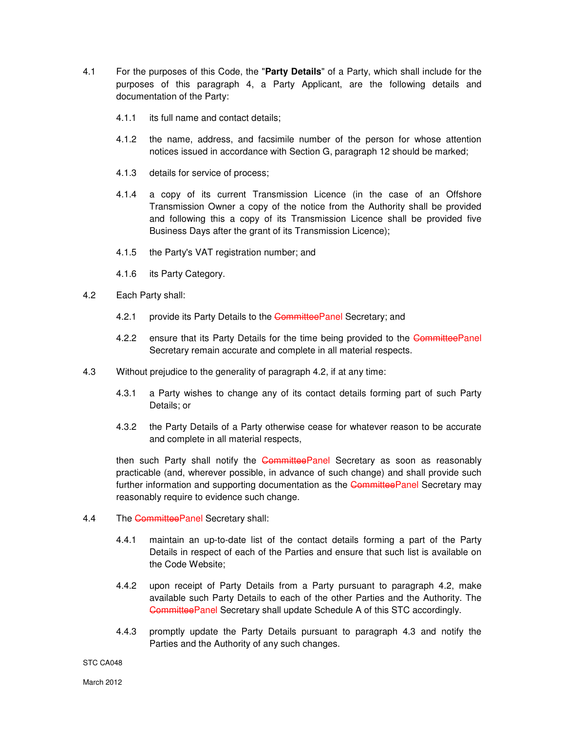- 4.1 For the purposes of this Code, the "**Party Details**" of a Party, which shall include for the purposes of this paragraph 4, a Party Applicant, are the following details and documentation of the Party:
	- 4.1.1 its full name and contact details;
	- 4.1.2 the name, address, and facsimile number of the person for whose attention notices issued in accordance with Section G, paragraph 12 should be marked;
	- 4.1.3 details for service of process;
	- 4.1.4 a copy of its current Transmission Licence (in the case of an Offshore Transmission Owner a copy of the notice from the Authority shall be provided and following this a copy of its Transmission Licence shall be provided five Business Days after the grant of its Transmission Licence);
	- 4.1.5 the Party's VAT registration number; and
	- 4.1.6 its Party Category.
- 4.2 Each Party shall:
	- 4.2.1 provide its Party Details to the CommitteePanel Secretary; and
	- 4.2.2 ensure that its Party Details for the time being provided to the CommitteePanel Secretary remain accurate and complete in all material respects.
- 4.3 Without prejudice to the generality of paragraph 4.2, if at any time:
	- 4.3.1 a Party wishes to change any of its contact details forming part of such Party Details; or
	- 4.3.2 the Party Details of a Party otherwise cease for whatever reason to be accurate and complete in all material respects,

then such Party shall notify the CommitteePanel Secretary as soon as reasonably practicable (and, wherever possible, in advance of such change) and shall provide such further information and supporting documentation as the **CommitteePanel** Secretary may reasonably require to evidence such change.

- 4.4 The CommitteePanel Secretary shall:
	- 4.4.1 maintain an up-to-date list of the contact details forming a part of the Party Details in respect of each of the Parties and ensure that such list is available on the Code Website;
	- 4.4.2 upon receipt of Party Details from a Party pursuant to paragraph 4.2, make available such Party Details to each of the other Parties and the Authority. The CommitteePanel Secretary shall update Schedule A of this STC accordingly.
	- 4.4.3 promptly update the Party Details pursuant to paragraph 4.3 and notify the Parties and the Authority of any such changes.

#### STC CA048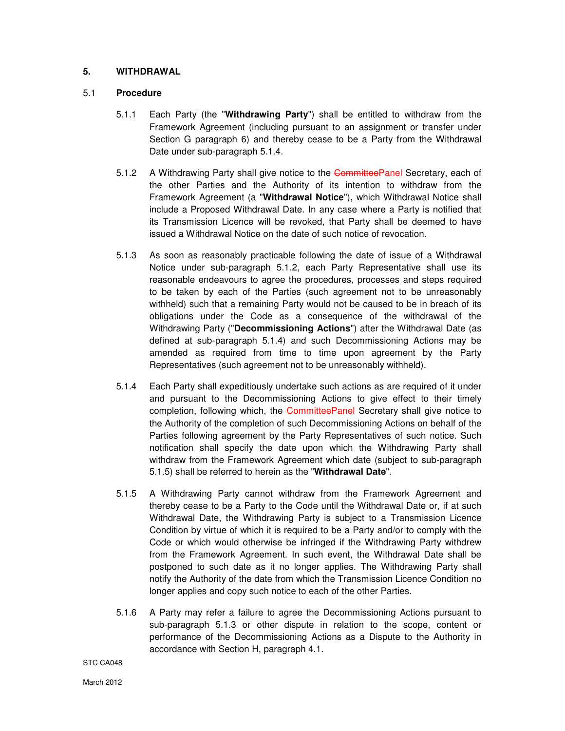# **5. WITHDRAWAL**

# 5.1 **Procedure**

- 5.1.1 Each Party (the "**Withdrawing Party**") shall be entitled to withdraw from the Framework Agreement (including pursuant to an assignment or transfer under Section G paragraph 6) and thereby cease to be a Party from the Withdrawal Date under sub-paragraph 5.1.4.
- 5.1.2 A Withdrawing Party shall give notice to the CommitteePanel Secretary, each of the other Parties and the Authority of its intention to withdraw from the Framework Agreement (a "**Withdrawal Notice**"), which Withdrawal Notice shall include a Proposed Withdrawal Date. In any case where a Party is notified that its Transmission Licence will be revoked, that Party shall be deemed to have issued a Withdrawal Notice on the date of such notice of revocation.
- 5.1.3 As soon as reasonably practicable following the date of issue of a Withdrawal Notice under sub-paragraph 5.1.2, each Party Representative shall use its reasonable endeavours to agree the procedures, processes and steps required to be taken by each of the Parties (such agreement not to be unreasonably withheld) such that a remaining Party would not be caused to be in breach of its obligations under the Code as a consequence of the withdrawal of the Withdrawing Party ("**Decommissioning Actions**") after the Withdrawal Date (as defined at sub-paragraph 5.1.4) and such Decommissioning Actions may be amended as required from time to time upon agreement by the Party Representatives (such agreement not to be unreasonably withheld).
- 5.1.4 Each Party shall expeditiously undertake such actions as are required of it under and pursuant to the Decommissioning Actions to give effect to their timely completion, following which, the CommitteePanel Secretary shall give notice to the Authority of the completion of such Decommissioning Actions on behalf of the Parties following agreement by the Party Representatives of such notice. Such notification shall specify the date upon which the Withdrawing Party shall withdraw from the Framework Agreement which date (subject to sub-paragraph 5.1.5) shall be referred to herein as the "**Withdrawal Date**".
- 5.1.5 A Withdrawing Party cannot withdraw from the Framework Agreement and thereby cease to be a Party to the Code until the Withdrawal Date or, if at such Withdrawal Date, the Withdrawing Party is subject to a Transmission Licence Condition by virtue of which it is required to be a Party and/or to comply with the Code or which would otherwise be infringed if the Withdrawing Party withdrew from the Framework Agreement. In such event, the Withdrawal Date shall be postponed to such date as it no longer applies. The Withdrawing Party shall notify the Authority of the date from which the Transmission Licence Condition no longer applies and copy such notice to each of the other Parties.
- 5.1.6 A Party may refer a failure to agree the Decommissioning Actions pursuant to sub-paragraph 5.1.3 or other dispute in relation to the scope, content or performance of the Decommissioning Actions as a Dispute to the Authority in accordance with Section H, paragraph 4.1.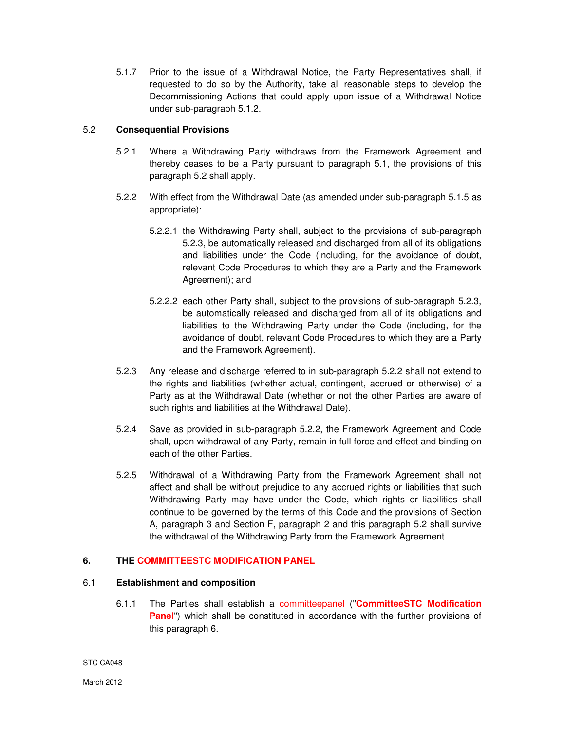5.1.7 Prior to the issue of a Withdrawal Notice, the Party Representatives shall, if requested to do so by the Authority, take all reasonable steps to develop the Decommissioning Actions that could apply upon issue of a Withdrawal Notice under sub-paragraph 5.1.2.

# 5.2 **Consequential Provisions**

- 5.2.1 Where a Withdrawing Party withdraws from the Framework Agreement and thereby ceases to be a Party pursuant to paragraph 5.1, the provisions of this paragraph 5.2 shall apply.
- 5.2.2 With effect from the Withdrawal Date (as amended under sub-paragraph 5.1.5 as appropriate):
	- 5.2.2.1 the Withdrawing Party shall, subject to the provisions of sub-paragraph 5.2.3, be automatically released and discharged from all of its obligations and liabilities under the Code (including, for the avoidance of doubt, relevant Code Procedures to which they are a Party and the Framework Agreement); and
	- 5.2.2.2 each other Party shall, subject to the provisions of sub-paragraph 5.2.3, be automatically released and discharged from all of its obligations and liabilities to the Withdrawing Party under the Code (including, for the avoidance of doubt, relevant Code Procedures to which they are a Party and the Framework Agreement).
- 5.2.3 Any release and discharge referred to in sub-paragraph 5.2.2 shall not extend to the rights and liabilities (whether actual, contingent, accrued or otherwise) of a Party as at the Withdrawal Date (whether or not the other Parties are aware of such rights and liabilities at the Withdrawal Date).
- 5.2.4 Save as provided in sub-paragraph 5.2.2, the Framework Agreement and Code shall, upon withdrawal of any Party, remain in full force and effect and binding on each of the other Parties.
- 5.2.5 Withdrawal of a Withdrawing Party from the Framework Agreement shall not affect and shall be without prejudice to any accrued rights or liabilities that such Withdrawing Party may have under the Code, which rights or liabilities shall continue to be governed by the terms of this Code and the provisions of Section A, paragraph 3 and Section F, paragraph 2 and this paragraph 5.2 shall survive the withdrawal of the Withdrawing Party from the Framework Agreement.

# **6. THE COMMITTEESTC MODIFICATION PANEL**

# 6.1 **Establishment and composition**

6.1.1 The Parties shall establish a committeepanel ("**CommitteeSTC Modification Panel**") which shall be constituted in accordance with the further provisions of this paragraph 6.

STC CA048

March 2012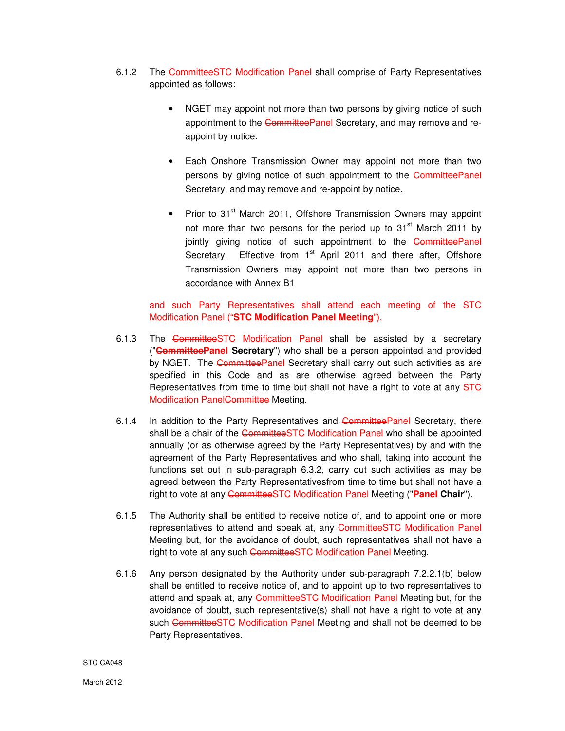- 6.1.2 The CommitteeSTC Modification Panel shall comprise of Party Representatives appointed as follows:
	- NGET may appoint not more than two persons by giving notice of such appointment to the CommitteePanel Secretary, and may remove and reappoint by notice.
	- Each Onshore Transmission Owner may appoint not more than two persons by giving notice of such appointment to the CommitteePanel Secretary, and may remove and re-appoint by notice.
	- Prior to 31<sup>st</sup> March 2011, Offshore Transmission Owners may appoint not more than two persons for the period up to  $31<sup>st</sup>$  March 2011 by jointly giving notice of such appointment to the CommitteePanel Secretary. Effective from 1<sup>st</sup> April 2011 and there after. Offshore Transmission Owners may appoint not more than two persons in accordance with Annex B1

and such Party Representatives shall attend each meeting of the STC Modification Panel ("**STC Modification Panel Meeting**").

- 6.1.3 The CommitteeSTC Modification Panel shall be assisted by a secretary ("**CommitteePanel Secretary**") who shall be a person appointed and provided by NGET. The CommitteePanel Secretary shall carry out such activities as are specified in this Code and as are otherwise agreed between the Party Representatives from time to time but shall not have a right to vote at any STC Modification Panel<del>Committee</del> Meeting.
- 6.1.4 In addition to the Party Representatives and CommitteePanel Secretary, there shall be a chair of the CommitteeSTC Modification Panel who shall be appointed annually (or as otherwise agreed by the Party Representatives) by and with the agreement of the Party Representatives and who shall, taking into account the functions set out in sub-paragraph 6.3.2, carry out such activities as may be agreed between the Party Representativesfrom time to time but shall not have a right to vote at any CommitteeSTC Modification Panel Meeting ("**Panel Chair**").
- 6.1.5 The Authority shall be entitled to receive notice of, and to appoint one or more representatives to attend and speak at, any CommitteeSTC Modification Panel Meeting but, for the avoidance of doubt, such representatives shall not have a right to vote at any such CommitteeSTC Modification Panel Meeting.
- 6.1.6 Any person designated by the Authority under sub-paragraph 7.2.2.1(b) below shall be entitled to receive notice of, and to appoint up to two representatives to attend and speak at, any CommitteeSTC Modification Panel Meeting but, for the avoidance of doubt, such representative(s) shall not have a right to vote at any such CommitteeSTC Modification Panel Meeting and shall not be deemed to be Party Representatives.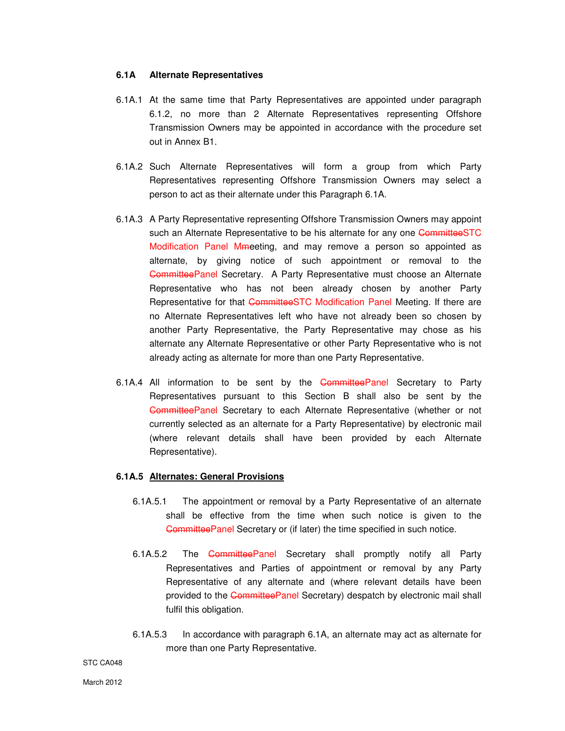#### **6.1A Alternate Representatives**

- 6.1A.1 At the same time that Party Representatives are appointed under paragraph 6.1.2, no more than 2 Alternate Representatives representing Offshore Transmission Owners may be appointed in accordance with the procedure set out in Annex B1.
- 6.1A.2 Such Alternate Representatives will form a group from which Party Representatives representing Offshore Transmission Owners may select a person to act as their alternate under this Paragraph 6.1A.
- 6.1A.3 A Party Representative representing Offshore Transmission Owners may appoint such an Alternate Representative to be his alternate for any one CommitteeSTC Modification Panel Mmeeting, and may remove a person so appointed as alternate, by giving notice of such appointment or removal to the CommitteePanel Secretary. A Party Representative must choose an Alternate Representative who has not been already chosen by another Party Representative for that CommitteeSTC Modification Panel Meeting. If there are no Alternate Representatives left who have not already been so chosen by another Party Representative, the Party Representative may chose as his alternate any Alternate Representative or other Party Representative who is not already acting as alternate for more than one Party Representative.
- 6.1A.4 All information to be sent by the CommitteePanel Secretary to Party Representatives pursuant to this Section B shall also be sent by the CommitteePanel Secretary to each Alternate Representative (whether or not currently selected as an alternate for a Party Representative) by electronic mail (where relevant details shall have been provided by each Alternate Representative).

#### **6.1A.5 Alternates: General Provisions**

- 6.1A.5.1 The appointment or removal by a Party Representative of an alternate shall be effective from the time when such notice is given to the CommitteePanel Secretary or (if later) the time specified in such notice.
- 6.1A.5.2 The CommitteePanel Secretary shall promptly notify all Party Representatives and Parties of appointment or removal by any Party Representative of any alternate and (where relevant details have been provided to the CommitteePanel Secretary) despatch by electronic mail shall fulfil this obligation.
- 6.1A.5.3 In accordance with paragraph 6.1A, an alternate may act as alternate for more than one Party Representative.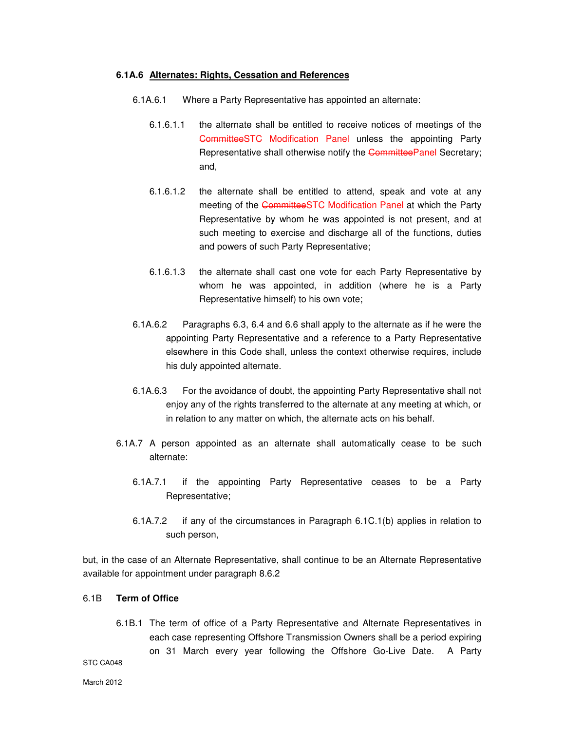#### **6.1A.6 Alternates: Rights, Cessation and References**

- 6.1A.6.1 Where a Party Representative has appointed an alternate:
	- 6.1.6.1.1 the alternate shall be entitled to receive notices of meetings of the CommitteeSTC Modification Panel unless the appointing Party Representative shall otherwise notify the CommitteePanel Secretary; and,
	- 6.1.6.1.2 the alternate shall be entitled to attend, speak and vote at any meeting of the CommitteeSTC Modification Panel at which the Party Representative by whom he was appointed is not present, and at such meeting to exercise and discharge all of the functions, duties and powers of such Party Representative;
	- 6.1.6.1.3 the alternate shall cast one vote for each Party Representative by whom he was appointed, in addition (where he is a Party Representative himself) to his own vote;
- 6.1A.6.2 Paragraphs 6.3, 6.4 and 6.6 shall apply to the alternate as if he were the appointing Party Representative and a reference to a Party Representative elsewhere in this Code shall, unless the context otherwise requires, include his duly appointed alternate.
- 6.1A.6.3 For the avoidance of doubt, the appointing Party Representative shall not enjoy any of the rights transferred to the alternate at any meeting at which, or in relation to any matter on which, the alternate acts on his behalf.
- 6.1A.7 A person appointed as an alternate shall automatically cease to be such alternate:
	- 6.1A.7.1 if the appointing Party Representative ceases to be a Party Representative;
	- 6.1A.7.2 if any of the circumstances in Paragraph 6.1C.1(b) applies in relation to such person,

but, in the case of an Alternate Representative, shall continue to be an Alternate Representative available for appointment under paragraph 8.6.2

#### 6.1B **Term of Office**

6.1B.1 The term of office of a Party Representative and Alternate Representatives in each case representing Offshore Transmission Owners shall be a period expiring on 31 March every year following the Offshore Go-Live Date. A Party

STC CA048

March 2012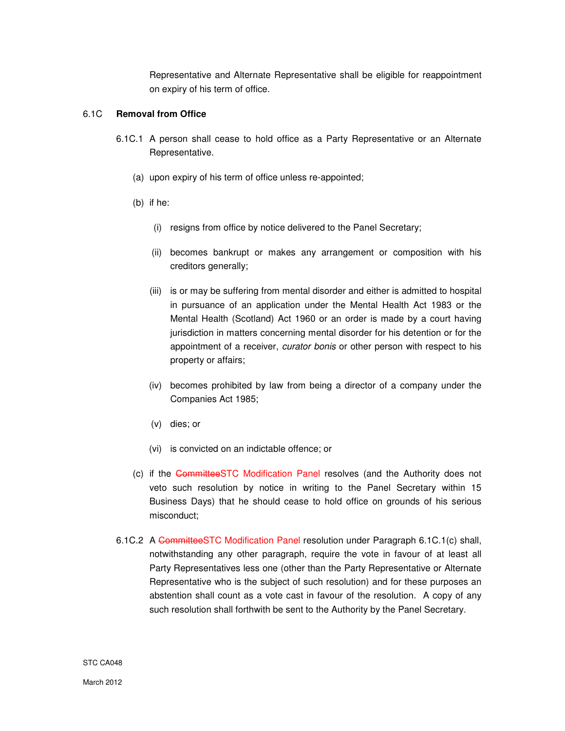Representative and Alternate Representative shall be eligible for reappointment on expiry of his term of office.

# 6.1C **Removal from Office**

- 6.1C.1 A person shall cease to hold office as a Party Representative or an Alternate Representative.
	- (a) upon expiry of his term of office unless re-appointed;
	- (b) if he:
		- (i) resigns from office by notice delivered to the Panel Secretary;
		- (ii) becomes bankrupt or makes any arrangement or composition with his creditors generally;
		- (iii) is or may be suffering from mental disorder and either is admitted to hospital in pursuance of an application under the Mental Health Act 1983 or the Mental Health (Scotland) Act 1960 or an order is made by a court having jurisdiction in matters concerning mental disorder for his detention or for the appointment of a receiver, curator bonis or other person with respect to his property or affairs;
		- (iv) becomes prohibited by law from being a director of a company under the Companies Act 1985;
		- (v) dies; or
		- (vi) is convicted on an indictable offence; or
	- (c) if the CommitteeSTC Modification Panel resolves (and the Authority does not veto such resolution by notice in writing to the Panel Secretary within 15 Business Days) that he should cease to hold office on grounds of his serious misconduct;
- 6.1C.2 A CommitteeSTC Modification Panel resolution under Paragraph 6.1C.1(c) shall, notwithstanding any other paragraph, require the vote in favour of at least all Party Representatives less one (other than the Party Representative or Alternate Representative who is the subject of such resolution) and for these purposes an abstention shall count as a vote cast in favour of the resolution. A copy of any such resolution shall forthwith be sent to the Authority by the Panel Secretary.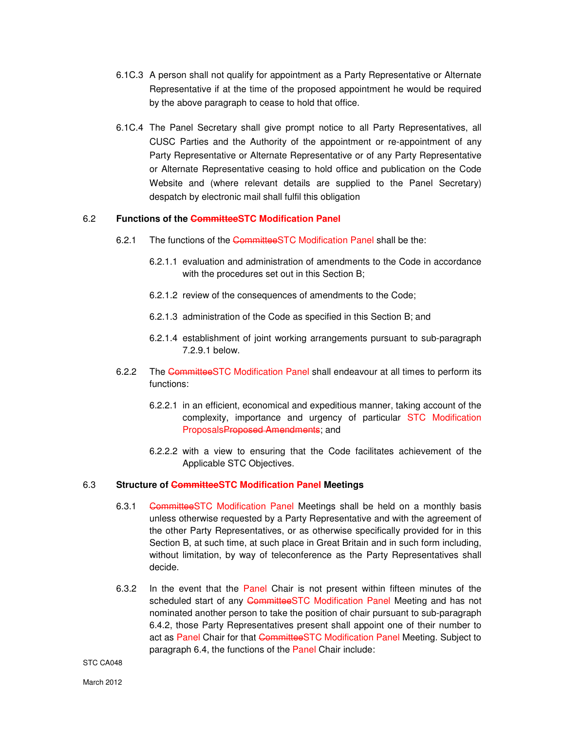- 6.1C.3 A person shall not qualify for appointment as a Party Representative or Alternate Representative if at the time of the proposed appointment he would be required by the above paragraph to cease to hold that office.
- 6.1C.4 The Panel Secretary shall give prompt notice to all Party Representatives, all CUSC Parties and the Authority of the appointment or re-appointment of any Party Representative or Alternate Representative or of any Party Representative or Alternate Representative ceasing to hold office and publication on the Code Website and (where relevant details are supplied to the Panel Secretary) despatch by electronic mail shall fulfil this obligation

# 6.2 **Functions of the CommitteeSTC Modification Panel**

- 6.2.1 The functions of the CommitteeSTC Modification Panel shall be the:
	- 6.2.1.1 evaluation and administration of amendments to the Code in accordance with the procedures set out in this Section B;
	- 6.2.1.2 review of the consequences of amendments to the Code;
	- 6.2.1.3 administration of the Code as specified in this Section B; and
	- 6.2.1.4 establishment of joint working arrangements pursuant to sub-paragraph 7.2.9.1 below.
- 6.2.2 The CommitteeSTC Modification Panel shall endeavour at all times to perform its functions:
	- 6.2.2.1 in an efficient, economical and expeditious manner, taking account of the complexity, importance and urgency of particular STC Modification ProposalsProposed Amendments; and
	- 6.2.2.2 with a view to ensuring that the Code facilitates achievement of the Applicable STC Objectives.

# 6.3 **Structure of CommitteeSTC Modification Panel Meetings**

- 6.3.1 CommitteeSTC Modification Panel Meetings shall be held on a monthly basis unless otherwise requested by a Party Representative and with the agreement of the other Party Representatives, or as otherwise specifically provided for in this Section B, at such time, at such place in Great Britain and in such form including, without limitation, by way of teleconference as the Party Representatives shall decide.
- 6.3.2 In the event that the Panel Chair is not present within fifteen minutes of the scheduled start of any CommitteeSTC Modification Panel Meeting and has not nominated another person to take the position of chair pursuant to sub-paragraph 6.4.2, those Party Representatives present shall appoint one of their number to act as Panel Chair for that CommitteeSTC Modification Panel Meeting. Subject to paragraph 6.4, the functions of the Panel Chair include: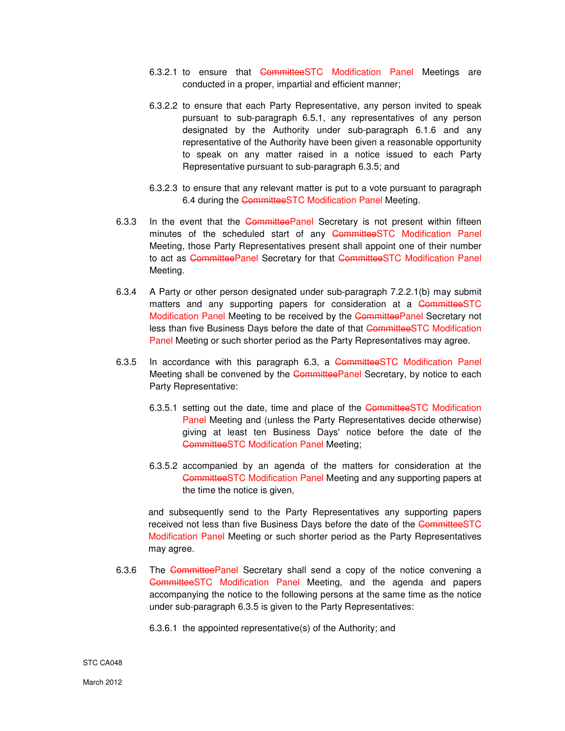- 6.3.2.1 to ensure that CommitteeSTC Modification Panel Meetings are conducted in a proper, impartial and efficient manner;
- 6.3.2.2 to ensure that each Party Representative, any person invited to speak pursuant to sub-paragraph 6.5.1, any representatives of any person designated by the Authority under sub-paragraph 6.1.6 and any representative of the Authority have been given a reasonable opportunity to speak on any matter raised in a notice issued to each Party Representative pursuant to sub-paragraph 6.3.5; and
- 6.3.2.3 to ensure that any relevant matter is put to a vote pursuant to paragraph 6.4 during the CommitteeSTC Modification Panel Meeting.
- 6.3.3 In the event that the CommitteePanel Secretary is not present within fifteen minutes of the scheduled start of any CommitteeSTC Modification Panel Meeting, those Party Representatives present shall appoint one of their number to act as CommitteePanel Secretary for that CommitteeSTC Modification Panel Meeting.
- 6.3.4 A Party or other person designated under sub-paragraph 7.2.2.1(b) may submit matters and any supporting papers for consideration at a CommitteeSTC Modification Panel Meeting to be received by the CommitteePanel Secretary not less than five Business Days before the date of that CommitteeSTC Modification Panel Meeting or such shorter period as the Party Representatives may agree.
- 6.3.5 In accordance with this paragraph 6.3, a CommitteeSTC Modification Panel Meeting shall be convened by the CommitteePanel Secretary, by notice to each Party Representative:
	- 6.3.5.1 setting out the date, time and place of the CommitteeSTC Modification Panel Meeting and (unless the Party Representatives decide otherwise) giving at least ten Business Days' notice before the date of the CommitteeSTC Modification Panel Meeting;
	- 6.3.5.2 accompanied by an agenda of the matters for consideration at the CommitteeSTC Modification Panel Meeting and any supporting papers at the time the notice is given,

and subsequently send to the Party Representatives any supporting papers received not less than five Business Days before the date of the CommitteeSTC Modification Panel Meeting or such shorter period as the Party Representatives may agree.

- 6.3.6 The CommitteePanel Secretary shall send a copy of the notice convening a CommitteeSTC Modification Panel Meeting, and the agenda and papers accompanying the notice to the following persons at the same time as the notice under sub-paragraph 6.3.5 is given to the Party Representatives:
	- 6.3.6.1 the appointed representative(s) of the Authority; and

STC CA048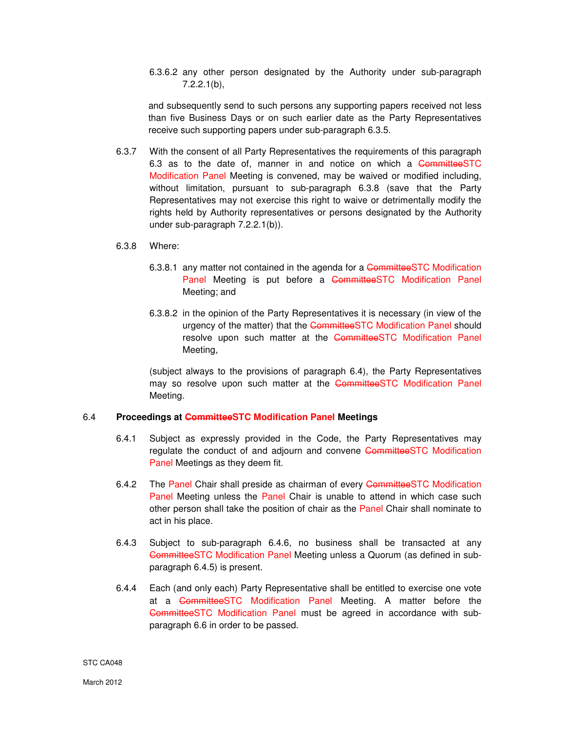6.3.6.2 any other person designated by the Authority under sub-paragraph 7.2.2.1(b),

 and subsequently send to such persons any supporting papers received not less than five Business Days or on such earlier date as the Party Representatives receive such supporting papers under sub-paragraph 6.3.5.

- 6.3.7 With the consent of all Party Representatives the requirements of this paragraph 6.3 as to the date of, manner in and notice on which a CommitteeSTC Modification Panel Meeting is convened, may be waived or modified including, without limitation, pursuant to sub-paragraph 6.3.8 (save that the Party Representatives may not exercise this right to waive or detrimentally modify the rights held by Authority representatives or persons designated by the Authority under sub-paragraph 7.2.2.1(b)).
- 6.3.8 Where:
	- 6.3.8.1 any matter not contained in the agenda for a CommitteeSTC Modification Panel Meeting is put before a CommitteeSTC Modification Panel Meeting; and
	- 6.3.8.2 in the opinion of the Party Representatives it is necessary (in view of the urgency of the matter) that the CommitteeSTC Modification Panel should resolve upon such matter at the CommitteeSTC Modification Panel Meeting,

(subject always to the provisions of paragraph 6.4), the Party Representatives may so resolve upon such matter at the CommitteeSTC Modification Panel Meeting.

#### 6.4 **Proceedings at CommitteeSTC Modification Panel Meetings**

- 6.4.1 Subject as expressly provided in the Code, the Party Representatives may regulate the conduct of and adjourn and convene CommitteeSTC Modification Panel Meetings as they deem fit.
- 6.4.2 The Panel Chair shall preside as chairman of every CommitteeSTC Modification Panel Meeting unless the Panel Chair is unable to attend in which case such other person shall take the position of chair as the Panel Chair shall nominate to act in his place.
- 6.4.3 Subject to sub-paragraph 6.4.6, no business shall be transacted at any CommitteeSTC Modification Panel Meeting unless a Quorum (as defined in subparagraph 6.4.5) is present.
- 6.4.4 Each (and only each) Party Representative shall be entitled to exercise one vote at a CommitteeSTC Modification Panel Meeting. A matter before the CommitteeSTC Modification Panel must be agreed in accordance with subparagraph 6.6 in order to be passed.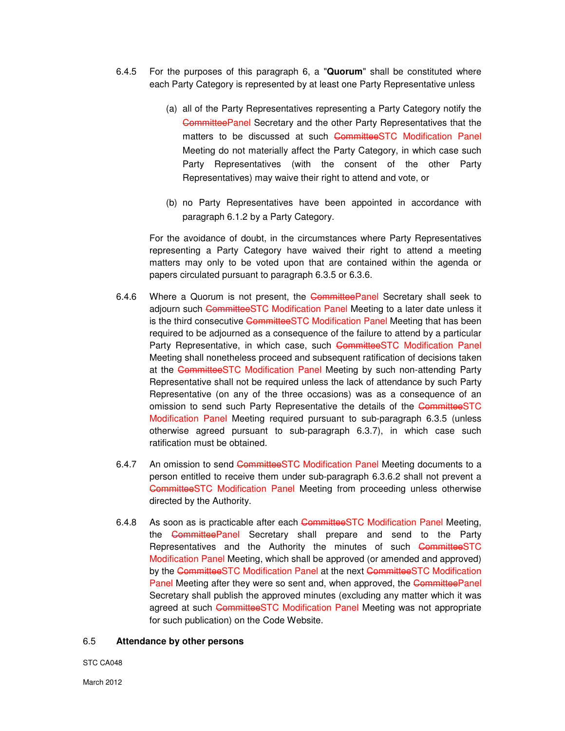- 6.4.5 For the purposes of this paragraph 6, a "**Quorum**" shall be constituted where each Party Category is represented by at least one Party Representative unless
	- (a) all of the Party Representatives representing a Party Category notify the **CommitteePanel Secretary and the other Party Representatives that the** matters to be discussed at such CommitteeSTC Modification Panel Meeting do not materially affect the Party Category, in which case such Party Representatives (with the consent of the other Party Representatives) may waive their right to attend and vote, or
	- (b) no Party Representatives have been appointed in accordance with paragraph 6.1.2 by a Party Category.

For the avoidance of doubt, in the circumstances where Party Representatives representing a Party Category have waived their right to attend a meeting matters may only to be voted upon that are contained within the agenda or papers circulated pursuant to paragraph 6.3.5 or 6.3.6.

- 6.4.6 Where a Quorum is not present, the CommitteePanel Secretary shall seek to adjourn such CommitteeSTC Modification Panel Meeting to a later date unless it is the third consecutive CommitteeSTC Modification Panel Meeting that has been required to be adjourned as a consequence of the failure to attend by a particular Party Representative, in which case, such CommitteeSTC Modification Panel Meeting shall nonetheless proceed and subsequent ratification of decisions taken at the CommitteeSTC Modification Panel Meeting by such non-attending Party Representative shall not be required unless the lack of attendance by such Party Representative (on any of the three occasions) was as a consequence of an omission to send such Party Representative the details of the CommitteeSTC Modification Panel Meeting required pursuant to sub-paragraph 6.3.5 (unless otherwise agreed pursuant to sub-paragraph 6.3.7), in which case such ratification must be obtained.
- 6.4.7 An omission to send CommitteeSTC Modification Panel Meeting documents to a person entitled to receive them under sub-paragraph 6.3.6.2 shall not prevent a CommitteeSTC Modification Panel Meeting from proceeding unless otherwise directed by the Authority.
- 6.4.8 As soon as is practicable after each CommitteeSTC Modification Panel Meeting, the CommitteePanel Secretary shall prepare and send to the Party Representatives and the Authority the minutes of such CommitteeSTC Modification Panel Meeting, which shall be approved (or amended and approved) by the CommitteeSTC Modification Panel at the next CommitteeSTC Modification Panel Meeting after they were so sent and, when approved, the CommitteePanel Secretary shall publish the approved minutes (excluding any matter which it was agreed at such CommitteeSTC Modification Panel Meeting was not appropriate for such publication) on the Code Website.

#### 6.5 **Attendance by other persons**

STC CA048

March 2012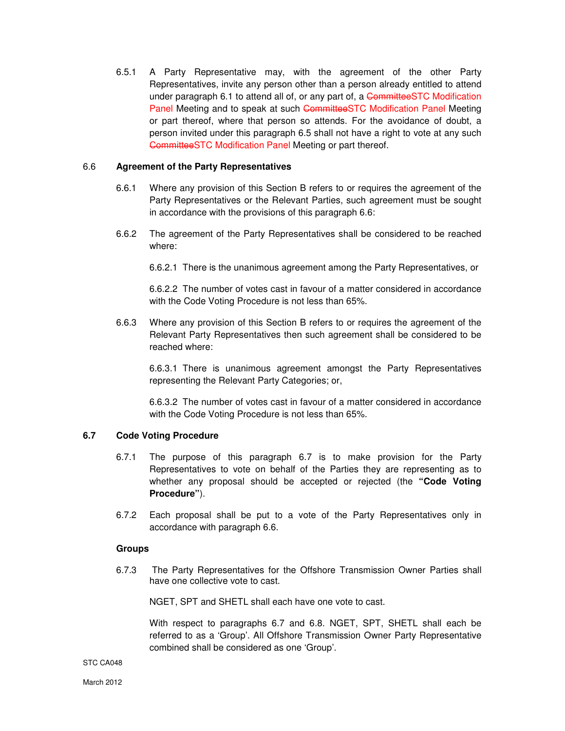6.5.1 A Party Representative may, with the agreement of the other Party Representatives, invite any person other than a person already entitled to attend under paragraph 6.1 to attend all of, or any part of, a CommitteeSTC Modification Panel Meeting and to speak at such CommitteeSTC Modification Panel Meeting or part thereof, where that person so attends. For the avoidance of doubt, a person invited under this paragraph 6.5 shall not have a right to vote at any such CommitteeSTC Modification Panel Meeting or part thereof.

# 6.6 **Agreement of the Party Representatives**

- 6.6.1 Where any provision of this Section B refers to or requires the agreement of the Party Representatives or the Relevant Parties, such agreement must be sought in accordance with the provisions of this paragraph 6.6:
- 6.6.2 The agreement of the Party Representatives shall be considered to be reached where:

6.6.2.1 There is the unanimous agreement among the Party Representatives, or

6.6.2.2 The number of votes cast in favour of a matter considered in accordance with the Code Voting Procedure is not less than 65%.

6.6.3 Where any provision of this Section B refers to or requires the agreement of the Relevant Party Representatives then such agreement shall be considered to be reached where:

6.6.3.1 There is unanimous agreement amongst the Party Representatives representing the Relevant Party Categories; or,

6.6.3.2 The number of votes cast in favour of a matter considered in accordance with the Code Voting Procedure is not less than 65%.

## **6.7 Code Voting Procedure**

- 6.7.1 The purpose of this paragraph 6.7 is to make provision for the Party Representatives to vote on behalf of the Parties they are representing as to whether any proposal should be accepted or rejected (the **"Code Voting Procedure"**).
- 6.7.2 Each proposal shall be put to a vote of the Party Representatives only in accordance with paragraph 6.6.

## **Groups**

6.7.3 The Party Representatives for the Offshore Transmission Owner Parties shall have one collective vote to cast.

NGET, SPT and SHETL shall each have one vote to cast.

With respect to paragraphs 6.7 and 6.8. NGET, SPT, SHETL shall each be referred to as a 'Group'. All Offshore Transmission Owner Party Representative combined shall be considered as one 'Group'.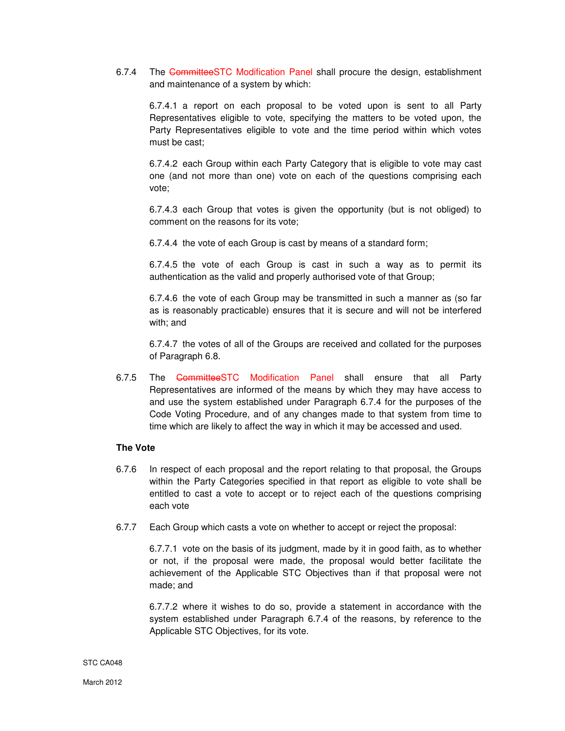6.7.4 The CommitteeSTC Modification Panel shall procure the design, establishment and maintenance of a system by which:

6.7.4.1 a report on each proposal to be voted upon is sent to all Party Representatives eligible to vote, specifying the matters to be voted upon, the Party Representatives eligible to vote and the time period within which votes must be cast;

6.7.4.2 each Group within each Party Category that is eligible to vote may cast one (and not more than one) vote on each of the questions comprising each vote;

6.7.4.3 each Group that votes is given the opportunity (but is not obliged) to comment on the reasons for its vote;

6.7.4.4 the vote of each Group is cast by means of a standard form;

6.7.4.5 the vote of each Group is cast in such a way as to permit its authentication as the valid and properly authorised vote of that Group;

6.7.4.6 the vote of each Group may be transmitted in such a manner as (so far as is reasonably practicable) ensures that it is secure and will not be interfered with; and

6.7.4.7 the votes of all of the Groups are received and collated for the purposes of Paragraph 6.8.

6.7.5 The CommitteeSTC Modification Panel shall ensure that all Party Representatives are informed of the means by which they may have access to and use the system established under Paragraph 6.7.4 for the purposes of the Code Voting Procedure, and of any changes made to that system from time to time which are likely to affect the way in which it may be accessed and used.

## **The Vote**

- 6.7.6 In respect of each proposal and the report relating to that proposal, the Groups within the Party Categories specified in that report as eligible to vote shall be entitled to cast a vote to accept or to reject each of the questions comprising each vote
- 6.7.7 Each Group which casts a vote on whether to accept or reject the proposal:

6.7.7.1 vote on the basis of its judgment, made by it in good faith, as to whether or not, if the proposal were made, the proposal would better facilitate the achievement of the Applicable STC Objectives than if that proposal were not made; and

6.7.7.2 where it wishes to do so, provide a statement in accordance with the system established under Paragraph 6.7.4 of the reasons, by reference to the Applicable STC Objectives, for its vote.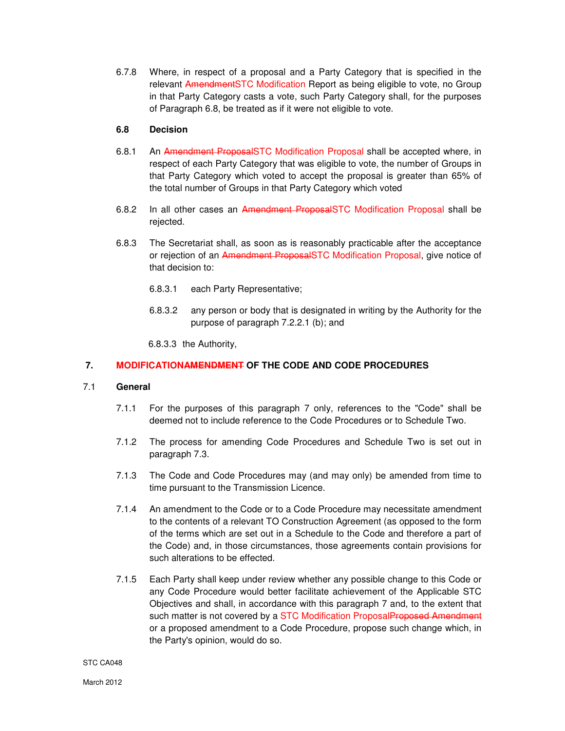6.7.8 Where, in respect of a proposal and a Party Category that is specified in the relevant AmendmentSTC Modification Report as being eligible to vote, no Group in that Party Category casts a vote, such Party Category shall, for the purposes of Paragraph 6.8, be treated as if it were not eligible to vote.

# **6.8 Decision**

- 6.8.1 An Amendment ProposalSTC Modification Proposal shall be accepted where, in respect of each Party Category that was eligible to vote, the number of Groups in that Party Category which voted to accept the proposal is greater than 65% of the total number of Groups in that Party Category which voted
- 6.8.2 In all other cases an Amendment ProposalSTC Modification Proposal shall be rejected.
- 6.8.3 The Secretariat shall, as soon as is reasonably practicable after the acceptance or rejection of an Amendment ProposalSTC Modification Proposal, give notice of that decision to:
	- 6.8.3.1 each Party Representative;
	- 6.8.3.2 any person or body that is designated in writing by the Authority for the purpose of paragraph 7.2.2.1 (b); and

6.8.3.3 the Authority,

# **7. MODIFICATIONAMENDMENT OF THE CODE AND CODE PROCEDURES**

# 7.1 **General**

- 7.1.1 For the purposes of this paragraph 7 only, references to the "Code" shall be deemed not to include reference to the Code Procedures or to Schedule Two.
- 7.1.2 The process for amending Code Procedures and Schedule Two is set out in paragraph 7.3.
- 7.1.3 The Code and Code Procedures may (and may only) be amended from time to time pursuant to the Transmission Licence.
- 7.1.4 An amendment to the Code or to a Code Procedure may necessitate amendment to the contents of a relevant TO Construction Agreement (as opposed to the form of the terms which are set out in a Schedule to the Code and therefore a part of the Code) and, in those circumstances, those agreements contain provisions for such alterations to be effected.
- 7.1.5 Each Party shall keep under review whether any possible change to this Code or any Code Procedure would better facilitate achievement of the Applicable STC Objectives and shall, in accordance with this paragraph 7 and, to the extent that such matter is not covered by a STC Modification ProposalProposed Amendment or a proposed amendment to a Code Procedure, propose such change which, in the Party's opinion, would do so.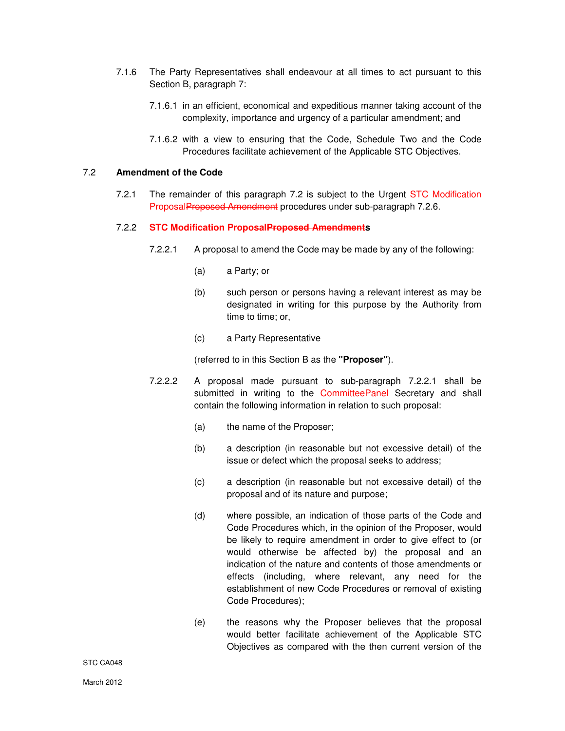- 7.1.6 The Party Representatives shall endeavour at all times to act pursuant to this Section B, paragraph 7:
	- 7.1.6.1 in an efficient, economical and expeditious manner taking account of the complexity, importance and urgency of a particular amendment; and
	- 7.1.6.2 with a view to ensuring that the Code, Schedule Two and the Code Procedures facilitate achievement of the Applicable STC Objectives.

# 7.2 **Amendment of the Code**

7.2.1 The remainder of this paragraph 7.2 is subject to the Urgent STC Modification ProposalProposed Amendment procedures under sub-paragraph 7.2.6.

# 7.2.2 **STC Modification ProposalProposed Amendments**

- 7.2.2.1 A proposal to amend the Code may be made by any of the following:
	- (a) a Party; or
	- (b) such person or persons having a relevant interest as may be designated in writing for this purpose by the Authority from time to time; or,
	- (c) a Party Representative

(referred to in this Section B as the **"Proposer"**).

- 7.2.2.2 A proposal made pursuant to sub-paragraph 7.2.2.1 shall be submitted in writing to the CommitteePanel Secretary and shall contain the following information in relation to such proposal:
	- (a) the name of the Proposer;
	- (b) a description (in reasonable but not excessive detail) of the issue or defect which the proposal seeks to address;
	- (c) a description (in reasonable but not excessive detail) of the proposal and of its nature and purpose;
	- (d) where possible, an indication of those parts of the Code and Code Procedures which, in the opinion of the Proposer, would be likely to require amendment in order to give effect to (or would otherwise be affected by) the proposal and an indication of the nature and contents of those amendments or effects (including, where relevant, any need for the establishment of new Code Procedures or removal of existing Code Procedures);
	- (e) the reasons why the Proposer believes that the proposal would better facilitate achievement of the Applicable STC Objectives as compared with the then current version of the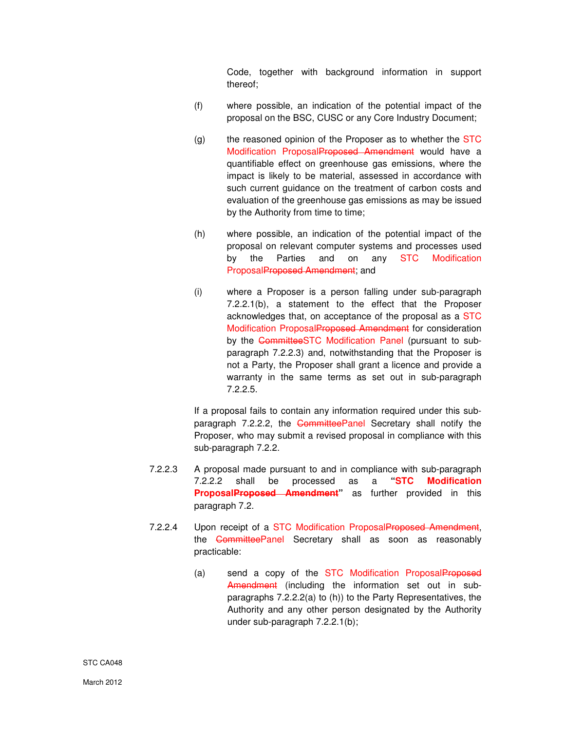Code, together with background information in support thereof;

- (f) where possible, an indication of the potential impact of the proposal on the BSC, CUSC or any Core Industry Document;
- $(g)$  the reasoned opinion of the Proposer as to whether the STC Modification ProposalProposed Amendment would have a quantifiable effect on greenhouse gas emissions, where the impact is likely to be material, assessed in accordance with such current guidance on the treatment of carbon costs and evaluation of the greenhouse gas emissions as may be issued by the Authority from time to time;
- (h) where possible, an indication of the potential impact of the proposal on relevant computer systems and processes used by the Parties and on any STC Modification ProposalProposed Amendment; and
- (i) where a Proposer is a person falling under sub-paragraph 7.2.2.1(b), a statement to the effect that the Proposer acknowledges that, on acceptance of the proposal as a STC Modification ProposalProposed Amendment for consideration by the CommitteeSTC Modification Panel (pursuant to subparagraph 7.2.2.3) and, notwithstanding that the Proposer is not a Party, the Proposer shall grant a licence and provide a warranty in the same terms as set out in sub-paragraph 7.2.2.5.

If a proposal fails to contain any information required under this subparagraph 7.2.2.2, the CommitteePanel Secretary shall notify the Proposer, who may submit a revised proposal in compliance with this sub-paragraph 7.2.2.

- 7.2.2.3 A proposal made pursuant to and in compliance with sub-paragraph 7.2.2.2 shall be processed as a **"STC Modification ProposalProposed Amendment**" as further provided in this paragraph 7.2.
- 7.2.2.4 Upon receipt of a STC Modification ProposalProposed Amendment, the **CommitteePanel** Secretary shall as soon as reasonably practicable:
	- (a) send a copy of the STC Modification ProposalProposed Amendment (including the information set out in subparagraphs 7.2.2.2(a) to (h)) to the Party Representatives, the Authority and any other person designated by the Authority under sub-paragraph 7.2.2.1(b);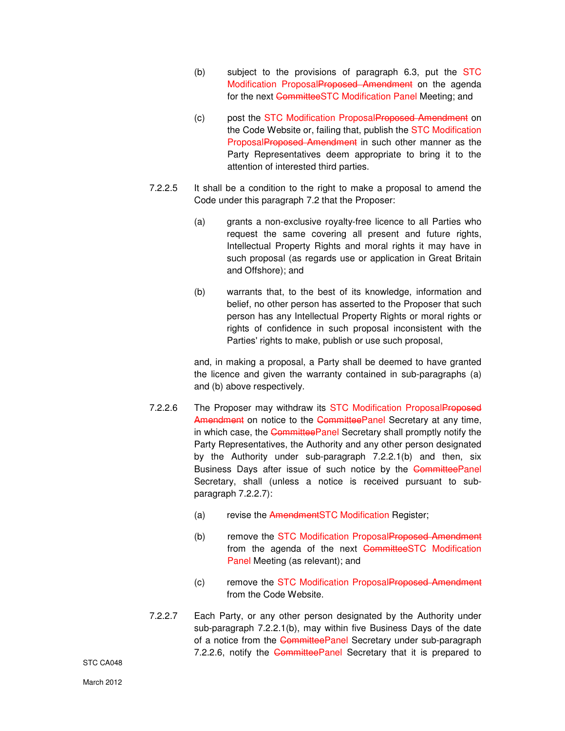- (b) subject to the provisions of paragraph  $6.3$ , put the  $STC$ Modification ProposalProposed Amendment on the agenda for the next CommitteeSTC Modification Panel Meeting; and
- (c) post the STC Modification ProposalProposed Amendment on the Code Website or, failing that, publish the STC Modification ProposalProposed Amendment in such other manner as the Party Representatives deem appropriate to bring it to the attention of interested third parties.
- 7.2.2.5 It shall be a condition to the right to make a proposal to amend the Code under this paragraph 7.2 that the Proposer:
	- (a) grants a non-exclusive royalty-free licence to all Parties who request the same covering all present and future rights, Intellectual Property Rights and moral rights it may have in such proposal (as regards use or application in Great Britain and Offshore); and
	- (b) warrants that, to the best of its knowledge, information and belief, no other person has asserted to the Proposer that such person has any Intellectual Property Rights or moral rights or rights of confidence in such proposal inconsistent with the Parties' rights to make, publish or use such proposal,

and, in making a proposal, a Party shall be deemed to have granted the licence and given the warranty contained in sub-paragraphs (a) and (b) above respectively.

- 7.2.2.6 The Proposer may withdraw its STC Modification ProposalProposed Amendment on notice to the CommitteePanel Secretary at any time, in which case, the CommitteePanel Secretary shall promptly notify the Party Representatives, the Authority and any other person designated by the Authority under sub-paragraph 7.2.2.1(b) and then, six Business Days after issue of such notice by the CommitteePanel Secretary, shall (unless a notice is received pursuant to subparagraph 7.2.2.7):
	- (a) revise the AmendmentSTC Modification Register;
	- (b) remove the STC Modification ProposalProposed Amendment from the agenda of the next CommitteeSTC Modification Panel Meeting (as relevant); and
	- (c) remove the STC Modification ProposalProposed Amendment from the Code Website.
- 7.2.2.7 Each Party, or any other person designated by the Authority under sub-paragraph 7.2.2.1(b), may within five Business Days of the date of a notice from the CommitteePanel Secretary under sub-paragraph 7.2.2.6, notify the CommitteePanel Secretary that it is prepared to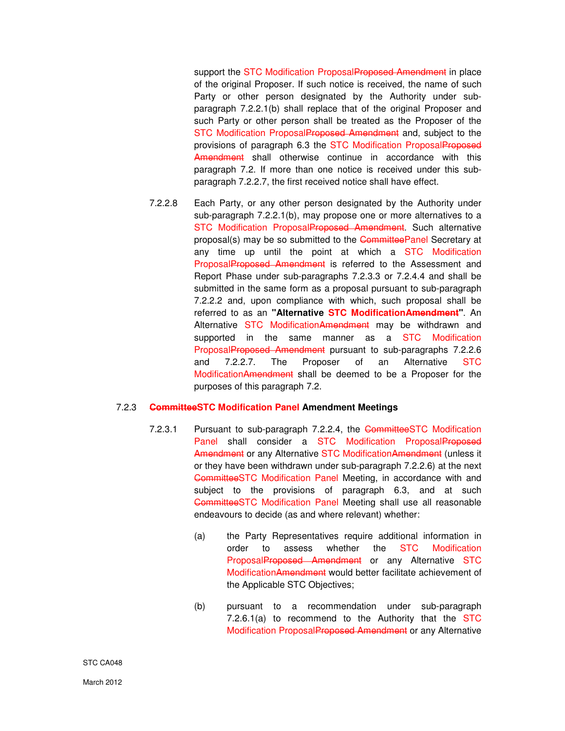support the STC Modification ProposalProposed Amendment in place of the original Proposer. If such notice is received, the name of such Party or other person designated by the Authority under subparagraph 7.2.2.1(b) shall replace that of the original Proposer and such Party or other person shall be treated as the Proposer of the STC Modification ProposalProposed Amendment and, subject to the provisions of paragraph 6.3 the STC Modification ProposalProposed Amendment shall otherwise continue in accordance with this paragraph 7.2. If more than one notice is received under this subparagraph 7.2.2.7, the first received notice shall have effect.

7.2.2.8 Each Party, or any other person designated by the Authority under sub-paragraph 7.2.2.1(b), may propose one or more alternatives to a STC Modification ProposalProposed Amendment. Such alternative proposal(s) may be so submitted to the CommitteePanel Secretary at any time up until the point at which a STC Modification ProposalProposed Amendment is referred to the Assessment and Report Phase under sub-paragraphs 7.2.3.3 or 7.2.4.4 and shall be submitted in the same form as a proposal pursuant to sub-paragraph 7.2.2.2 and, upon compliance with which, such proposal shall be referred to as an **"Alternative STC ModificationAmendment"**. An Alternative STC ModificationAmendment may be withdrawn and supported in the same manner as a STC Modification ProposalProposed Amendment pursuant to sub-paragraphs 7.2.2.6 and 7.2.2.7. The Proposer of an Alternative STC ModificationAmendment shall be deemed to be a Proposer for the purposes of this paragraph 7.2.

## 7.2.3 **CommitteeSTC Modification Panel Amendment Meetings**

- 7.2.3.1 Pursuant to sub-paragraph 7.2.2.4, the CommitteeSTC Modification Panel shall consider a STC Modification ProposalProposed Amendment or any Alternative STC Modification Amendment (unless it or they have been withdrawn under sub-paragraph 7.2.2.6) at the next CommitteeSTC Modification Panel Meeting, in accordance with and subject to the provisions of paragraph 6.3, and at such CommitteeSTC Modification Panel Meeting shall use all reasonable endeavours to decide (as and where relevant) whether:
	- (a) the Party Representatives require additional information in order to assess whether the STC Modification ProposalProposed Amendment or any Alternative STC ModificationAmendment would better facilitate achievement of the Applicable STC Objectives;
	- (b) pursuant to a recommendation under sub-paragraph 7.2.6.1(a) to recommend to the Authority that the STC Modification ProposalProposed Amendment or any Alternative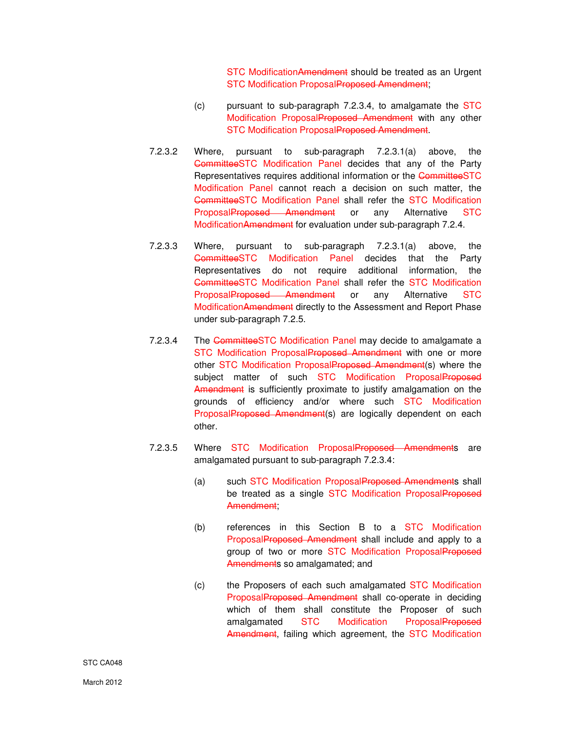STC ModificationAmendment should be treated as an Urgent STC Modification ProposalProposed Amendment;

- (c) pursuant to sub-paragraph 7.2.3.4, to amalgamate the STC Modification ProposalProposed Amendment with any other STC Modification ProposalProposed Amendment.
- 7.2.3.2 Where, pursuant to sub-paragraph 7.2.3.1(a) above, the CommitteeSTC Modification Panel decides that any of the Party Representatives requires additional information or the CommitteeSTC Modification Panel cannot reach a decision on such matter, the CommitteeSTC Modification Panel shall refer the STC Modification ProposalProposed Amendment or any Alternative STC ModificationAmendment for evaluation under sub-paragraph 7.2.4.
- 7.2.3.3 Where, pursuant to sub-paragraph 7.2.3.1(a) above, the CommitteeSTC Modification Panel decides that the Party Representatives do not require additional information, the CommitteeSTC Modification Panel shall refer the STC Modification ProposalProposed Amendment or any Alternative STC ModificationAmendment directly to the Assessment and Report Phase under sub-paragraph 7.2.5.
- 7.2.3.4 The CommitteeSTC Modification Panel may decide to amalgamate a STC Modification ProposalProposed Amendment with one or more other STC Modification ProposalProposed Amendment(s) where the subject matter of such STC Modification ProposalProposed Amendment is sufficiently proximate to justify amalgamation on the grounds of efficiency and/or where such STC Modification ProposalProposed Amendment(s) are logically dependent on each other.
- 7.2.3.5 Where STC Modification ProposalProposed Amendments are amalgamated pursuant to sub-paragraph 7.2.3.4:
	- (a) such STC Modification ProposalProposed Amendments shall be treated as a single STC Modification ProposalProposed Amendment;
	- (b) references in this Section B to a STC Modification ProposalProposed Amendment shall include and apply to a group of two or more STC Modification ProposalProposed Amendments so amalgamated; and
	- (c) the Proposers of each such amalgamated STC Modification ProposalProposed Amendment shall co-operate in deciding which of them shall constitute the Proposer of such amalgamated STC Modification ProposalProposed Amendment, failing which agreement, the STC Modification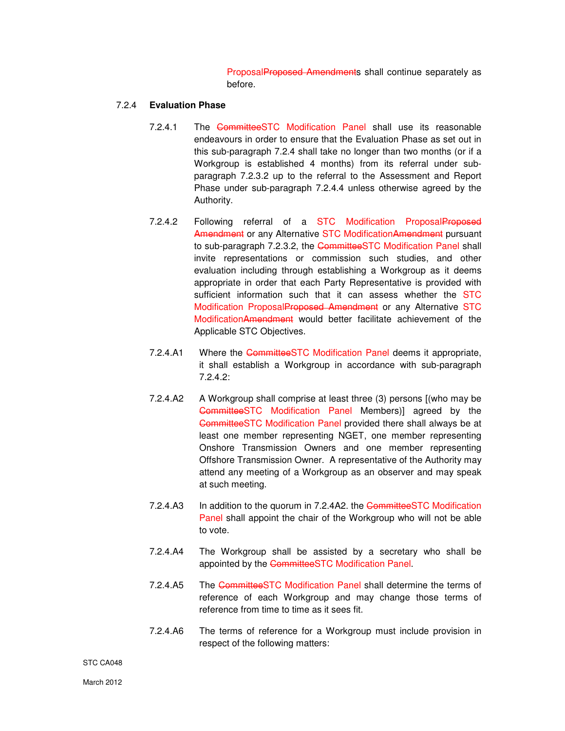ProposalProposed Amendments shall continue separately as before.

#### 7.2.4 **Evaluation Phase**

- 7.2.4.1 The CommitteeSTC Modification Panel shall use its reasonable endeavours in order to ensure that the Evaluation Phase as set out in this sub-paragraph 7.2.4 shall take no longer than two months (or if a Workgroup is established 4 months) from its referral under subparagraph 7.2.3.2 up to the referral to the Assessment and Report Phase under sub-paragraph 7.2.4.4 unless otherwise agreed by the Authority.
- 7.2.4.2 Following referral of a STC Modification ProposalProposed Amendment or any Alternative STC Modification Amendment pursuant to sub-paragraph 7.2.3.2, the CommitteeSTC Modification Panel shall invite representations or commission such studies, and other evaluation including through establishing a Workgroup as it deems appropriate in order that each Party Representative is provided with sufficient information such that it can assess whether the STC Modification ProposalProposed Amendment or any Alternative STC ModificationAmendment would better facilitate achievement of the Applicable STC Objectives.
- 7.2.4.A1 Where the CommitteeSTC Modification Panel deems it appropriate, it shall establish a Workgroup in accordance with sub-paragraph 7.2.4.2:
- 7.2.4.A2 A Workgroup shall comprise at least three (3) persons [(who may be CommitteeSTC Modification Panel Members)] agreed by the CommitteeSTC Modification Panel provided there shall always be at least one member representing NGET, one member representing Onshore Transmission Owners and one member representing Offshore Transmission Owner. A representative of the Authority may attend any meeting of a Workgroup as an observer and may speak at such meeting.
- 7.2.4.A3 In addition to the quorum in 7.2.4A2. the CommitteeSTC Modification Panel shall appoint the chair of the Workgroup who will not be able to vote.
- 7.2.4.A4 The Workgroup shall be assisted by a secretary who shall be appointed by the CommitteeSTC Modification Panel.
- 7.2.4.A5 The CommitteeSTC Modification Panel shall determine the terms of reference of each Workgroup and may change those terms of reference from time to time as it sees fit.
- 7.2.4.A6 The terms of reference for a Workgroup must include provision in respect of the following matters:

STC CA048

March 2012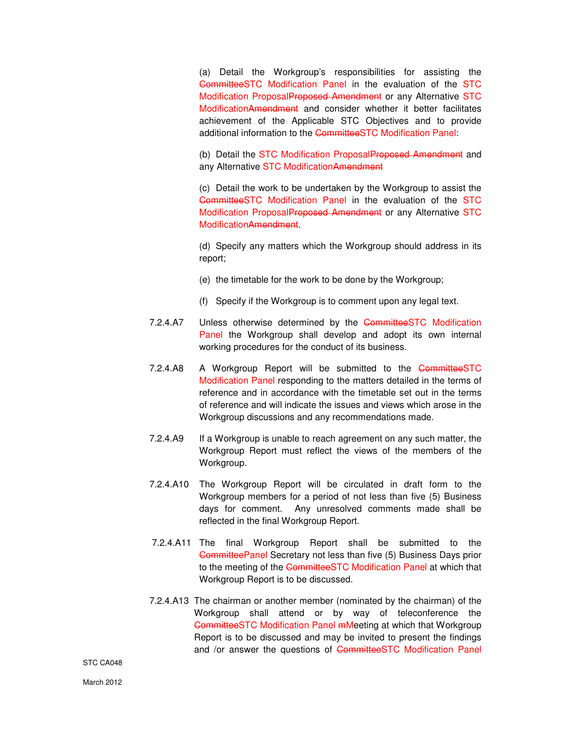(a) Detail the Workgroup's responsibilities for assisting the CommitteeSTC Modification Panel in the evaluation of the STC Modification ProposalProposed Amendment or any Alternative STC ModificationAmendment and consider whether it better facilitates achievement of the Applicable STC Objectives and to provide additional information to the CommitteeSTC Modification Panel:

(b) Detail the STC Modification ProposalProposed Amendment and any Alternative STC ModificationAmendment

 (c) Detail the work to be undertaken by the Workgroup to assist the CommitteeSTC Modification Panel in the evaluation of the STC Modification ProposalProposed Amendment or any Alternative STC ModificationAmendment.

 (d) Specify any matters which the Workgroup should address in its report;

- (e) the timetable for the work to be done by the Workgroup;
- (f) Specify if the Workgroup is to comment upon any legal text.
- 7.2.4.A7 Unless otherwise determined by the CommitteeSTC Modification Panel the Workgroup shall develop and adopt its own internal working procedures for the conduct of its business.
- 7.2.4.A8 A Workgroup Report will be submitted to the CommitteeSTC Modification Panel responding to the matters detailed in the terms of reference and in accordance with the timetable set out in the terms of reference and will indicate the issues and views which arose in the Workgroup discussions and any recommendations made.
- 7.2.4.A9 If a Workgroup is unable to reach agreement on any such matter, the Workgroup Report must reflect the views of the members of the Workgroup.
- 7.2.4.A10 The Workgroup Report will be circulated in draft form to the Workgroup members for a period of not less than five (5) Business days for comment. Any unresolved comments made shall be reflected in the final Workgroup Report.
- 7.2.4.A11 The final Workgroup Report shall be submitted to the CommitteePanel Secretary not less than five (5) Business Days prior to the meeting of the CommitteeSTC Modification Panel at which that Workgroup Report is to be discussed.
- 7.2.4.A13 The chairman or another member (nominated by the chairman) of the Workgroup shall attend or by way of teleconference the CommitteeSTC Modification Panel mMeeting at which that Workgroup Report is to be discussed and may be invited to present the findings and /or answer the questions of CommitteeSTC Modification Panel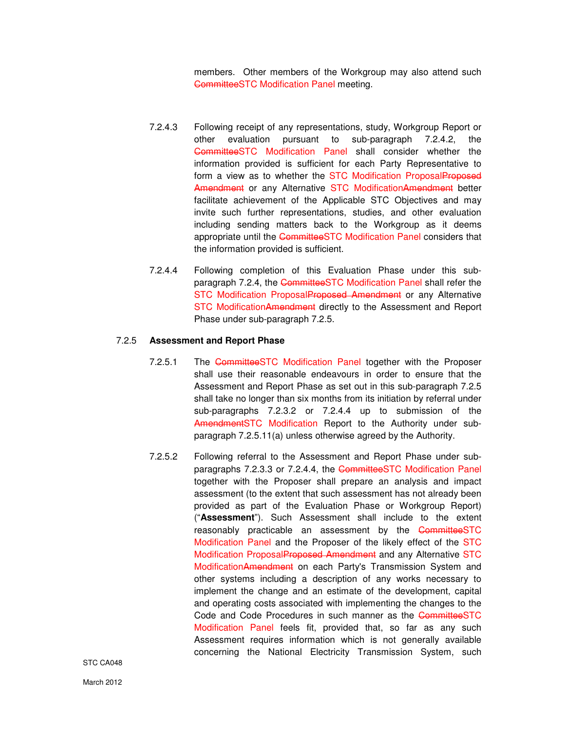members. Other members of the Workgroup may also attend such CommitteeSTC Modification Panel meeting.

- 7.2.4.3 Following receipt of any representations, study, Workgroup Report or other evaluation pursuant to sub-paragraph 7.2.4.2, the CommitteeSTC Modification Panel shall consider whether the information provided is sufficient for each Party Representative to form a view as to whether the STC Modification ProposalProposed Amendment or any Alternative STC ModificationAmendment better facilitate achievement of the Applicable STC Objectives and may invite such further representations, studies, and other evaluation including sending matters back to the Workgroup as it deems appropriate until the CommitteeSTC Modification Panel considers that the information provided is sufficient.
- 7.2.4.4 Following completion of this Evaluation Phase under this subparagraph 7.2.4, the CommitteeSTC Modification Panel shall refer the STC Modification ProposalProposed Amendment or any Alternative STC ModificationAmendment directly to the Assessment and Report Phase under sub-paragraph 7.2.5.

#### 7.2.5 **Assessment and Report Phase**

- 7.2.5.1 The CommitteeSTC Modification Panel together with the Proposer shall use their reasonable endeavours in order to ensure that the Assessment and Report Phase as set out in this sub-paragraph 7.2.5 shall take no longer than six months from its initiation by referral under sub-paragraphs 7.2.3.2 or 7.2.4.4 up to submission of the AmendmentSTC Modification Report to the Authority under subparagraph 7.2.5.11(a) unless otherwise agreed by the Authority.
- 7.2.5.2 Following referral to the Assessment and Report Phase under subparagraphs 7.2.3.3 or 7.2.4.4, the CommitteeSTC Modification Panel together with the Proposer shall prepare an analysis and impact assessment (to the extent that such assessment has not already been provided as part of the Evaluation Phase or Workgroup Report) ("**Assessment**"). Such Assessment shall include to the extent reasonably practicable an assessment by the CommitteeSTC Modification Panel and the Proposer of the likely effect of the STC Modification ProposalProposed Amendment and any Alternative STC ModificationAmendment on each Party's Transmission System and other systems including a description of any works necessary to implement the change and an estimate of the development, capital and operating costs associated with implementing the changes to the Code and Code Procedures in such manner as the CommitteeSTC Modification Panel feels fit, provided that, so far as any such Assessment requires information which is not generally available concerning the National Electricity Transmission System, such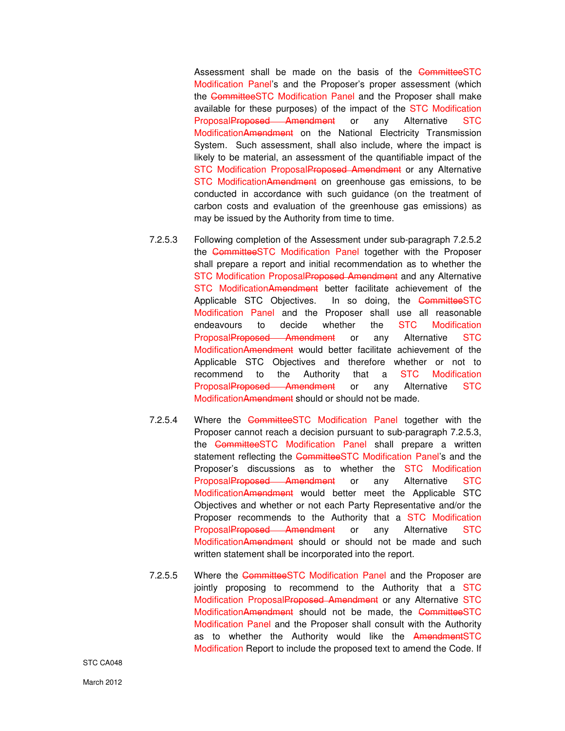Assessment shall be made on the basis of the CommitteeSTC Modification Panel's and the Proposer's proper assessment (which the CommitteeSTC Modification Panel and the Proposer shall make available for these purposes) of the impact of the STC Modification ProposalProposed Amendment or any Alternative STC ModificationAmendment on the National Electricity Transmission System. Such assessment, shall also include, where the impact is likely to be material, an assessment of the quantifiable impact of the STC Modification ProposalProposed Amendment or any Alternative STC ModificationAmendment on greenhouse gas emissions, to be conducted in accordance with such guidance (on the treatment of carbon costs and evaluation of the greenhouse gas emissions) as may be issued by the Authority from time to time.

- 7.2.5.3 Following completion of the Assessment under sub-paragraph 7.2.5.2 the CommitteeSTC Modification Panel together with the Proposer shall prepare a report and initial recommendation as to whether the STC Modification ProposalProposed Amendment and any Alternative STC ModificationAmendment better facilitate achievement of the Applicable STC Objectives. In so doing, the CommitteeSTC Modification Panel and the Proposer shall use all reasonable endeavours to decide whether the STC Modification ProposalProposed Amendment or any Alternative STC ModificationAmendment would better facilitate achievement of the Applicable STC Objectives and therefore whether or not to recommend to the Authority that a STC Modification ProposalProposed Amendment or any Alternative STC ModificationAmendment should or should not be made.
	- 7.2.5.4 Where the CommitteeSTC Modification Panel together with the Proposer cannot reach a decision pursuant to sub-paragraph 7.2.5.3, the CommitteeSTC Modification Panel shall prepare a written statement reflecting the CommitteeSTC Modification Panel's and the Proposer's discussions as to whether the STC Modification ProposalProposed Amendment or any Alternative STC ModificationAmendment would better meet the Applicable STC Objectives and whether or not each Party Representative and/or the Proposer recommends to the Authority that a STC Modification ProposalProposed Amendment or any Alternative STC ModificationAmendment should or should not be made and such written statement shall be incorporated into the report.
	- 7.2.5.5 Where the CommitteeSTC Modification Panel and the Proposer are jointly proposing to recommend to the Authority that a STC Modification ProposalProposed Amendment or any Alternative STC ModificationAmendment should not be made, the CommitteeSTC Modification Panel and the Proposer shall consult with the Authority as to whether the Authority would like the AmendmentSTC Modification Report to include the proposed text to amend the Code. If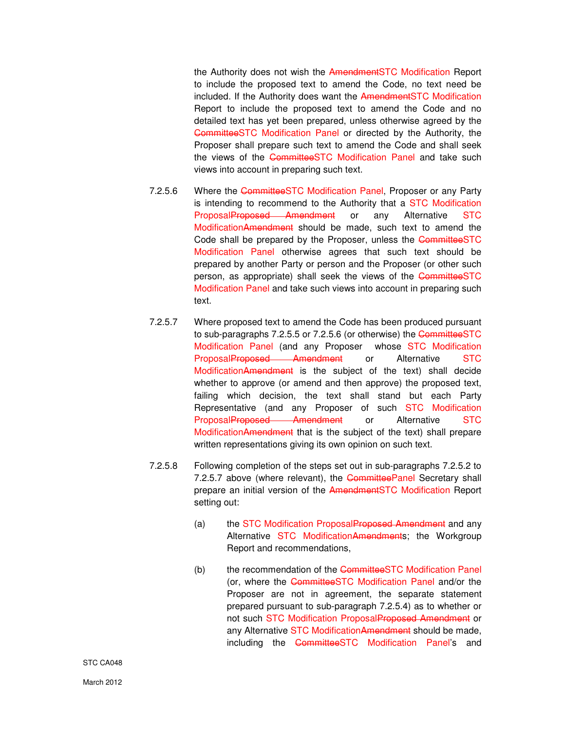the Authority does not wish the AmendmentSTC Modification Report to include the proposed text to amend the Code, no text need be included. If the Authority does want the AmendmentSTC Modification Report to include the proposed text to amend the Code and no detailed text has yet been prepared, unless otherwise agreed by the CommitteeSTC Modification Panel or directed by the Authority, the Proposer shall prepare such text to amend the Code and shall seek the views of the CommitteeSTC Modification Panel and take such views into account in preparing such text.

- 7.2.5.6 Where the CommitteeSTC Modification Panel, Proposer or any Party is intending to recommend to the Authority that a STC Modification ProposalProposed Amendment or any Alternative STC ModificationAmendment should be made, such text to amend the Code shall be prepared by the Proposer, unless the CommitteeSTC Modification Panel otherwise agrees that such text should be prepared by another Party or person and the Proposer (or other such person, as appropriate) shall seek the views of the CommitteeSTC Modification Panel and take such views into account in preparing such text.
- 7.2.5.7 Where proposed text to amend the Code has been produced pursuant to sub-paragraphs 7.2.5.5 or 7.2.5.6 (or otherwise) the CommitteeSTC Modification Panel (and any Proposer whose STC Modification ProposalProposed Amendment or Alternative STC ModificationAmendment is the subject of the text) shall decide whether to approve (or amend and then approve) the proposed text, failing which decision, the text shall stand but each Party Representative (and any Proposer of such STC Modification ProposalProposed Amendment or Alternative STC ModificationAmendment that is the subject of the text) shall prepare written representations giving its own opinion on such text.
- 7.2.5.8 Following completion of the steps set out in sub-paragraphs 7.2.5.2 to 7.2.5.7 above (where relevant), the CommitteePanel Secretary shall prepare an initial version of the AmendmentSTC Modification Report setting out:
	- (a) the STC Modification ProposalProposed Amendment and any Alternative STC ModificationAmendments; the Workgroup Report and recommendations,
	- (b) the recommendation of the CommitteeSTC Modification Panel (or, where the CommitteeSTC Modification Panel and/or the Proposer are not in agreement, the separate statement prepared pursuant to sub-paragraph 7.2.5.4) as to whether or not such STC Modification ProposalProposed Amendment or any Alternative STC ModificationAmendment should be made, including the CommitteeSTC Modification Panel's and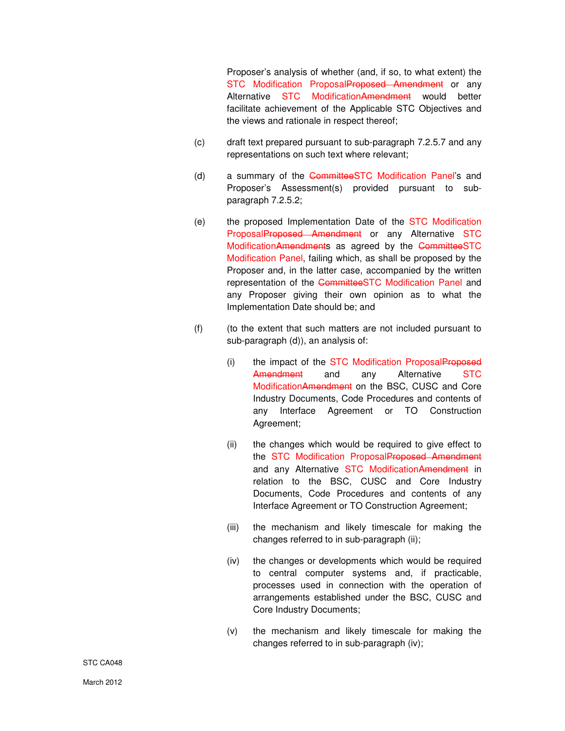Proposer's analysis of whether (and, if so, to what extent) the STC Modification ProposalProposed Amendment or any Alternative STC ModificationAmendment would better facilitate achievement of the Applicable STC Objectives and the views and rationale in respect thereof;

- (c) draft text prepared pursuant to sub-paragraph 7.2.5.7 and any representations on such text where relevant;
- (d) a summary of the CommitteeSTC Modification Panel's and Proposer's Assessment(s) provided pursuant to subparagraph 7.2.5.2;
- (e) the proposed Implementation Date of the STC Modification ProposalProposed Amendment or any Alternative STC ModificationAmendments as agreed by the CommitteeSTC Modification Panel, failing which, as shall be proposed by the Proposer and, in the latter case, accompanied by the written representation of the CommitteeSTC Modification Panel and any Proposer giving their own opinion as to what the Implementation Date should be; and
- (f) (to the extent that such matters are not included pursuant to sub-paragraph (d)), an analysis of:
	- (i) the impact of the STC Modification ProposalProposed Amendment and any Alternative STC ModificationAmendment on the BSC, CUSC and Core Industry Documents, Code Procedures and contents of any Interface Agreement or TO Construction Agreement;
	- (ii) the changes which would be required to give effect to the STC Modification ProposalProposed Amendment and any Alternative STC ModificationAmendment in relation to the BSC, CUSC and Core Industry Documents, Code Procedures and contents of any Interface Agreement or TO Construction Agreement;
	- (iii) the mechanism and likely timescale for making the changes referred to in sub-paragraph (ii);
	- (iv) the changes or developments which would be required to central computer systems and, if practicable, processes used in connection with the operation of arrangements established under the BSC, CUSC and Core Industry Documents;
	- (v) the mechanism and likely timescale for making the changes referred to in sub-paragraph (iv);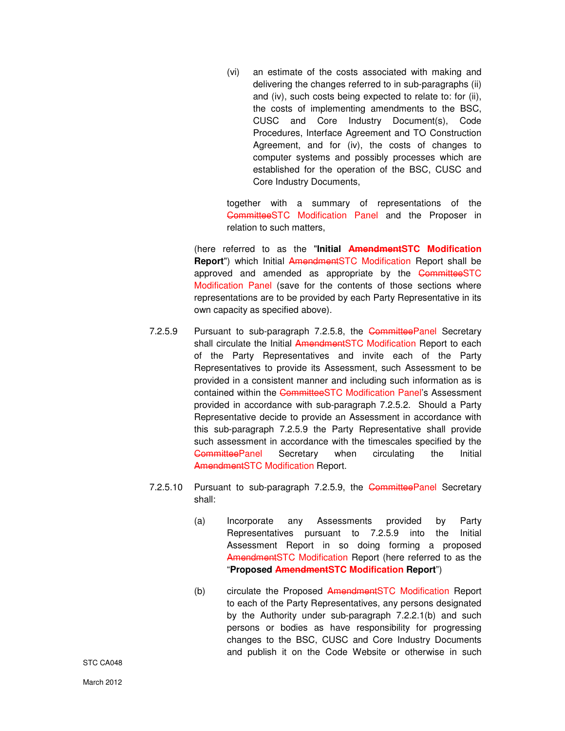(vi) an estimate of the costs associated with making and delivering the changes referred to in sub-paragraphs (ii) and (iv), such costs being expected to relate to: for (ii), the costs of implementing amendments to the BSC, CUSC and Core Industry Document(s), Code Procedures, Interface Agreement and TO Construction Agreement, and for (iv), the costs of changes to computer systems and possibly processes which are established for the operation of the BSC, CUSC and Core Industry Documents,

together with a summary of representations of the CommitteeSTC Modification Panel and the Proposer in relation to such matters,

(here referred to as the "**Initial AmendmentSTC Modification Report**") which Initial AmendmentSTC Modification Report shall be approved and amended as appropriate by the CommitteeSTC Modification Panel (save for the contents of those sections where representations are to be provided by each Party Representative in its own capacity as specified above).

- 7.2.5.9 Pursuant to sub-paragraph 7.2.5.8, the CommitteePanel Secretary shall circulate the Initial AmendmentSTC Modification Report to each of the Party Representatives and invite each of the Party Representatives to provide its Assessment, such Assessment to be provided in a consistent manner and including such information as is contained within the CommitteeSTC Modification Panel's Assessment provided in accordance with sub-paragraph 7.2.5.2. Should a Party Representative decide to provide an Assessment in accordance with this sub-paragraph 7.2.5.9 the Party Representative shall provide such assessment in accordance with the timescales specified by the CommitteePanel Secretary when circulating the Initial AmendmentSTC Modification Report.
- 7.2.5.10 Pursuant to sub-paragraph 7.2.5.9, the Committee Panel Secretary shall:
	- (a) Incorporate any Assessments provided by Party Representatives pursuant to 7.2.5.9 into the Initial Assessment Report in so doing forming a proposed AmendmentSTC Modification Report (here referred to as the "**Proposed AmendmentSTC Modification Report**")
	- (b) circulate the Proposed AmendmentSTC Modification Report to each of the Party Representatives, any persons designated by the Authority under sub-paragraph 7.2.2.1(b) and such persons or bodies as have responsibility for progressing changes to the BSC, CUSC and Core Industry Documents and publish it on the Code Website or otherwise in such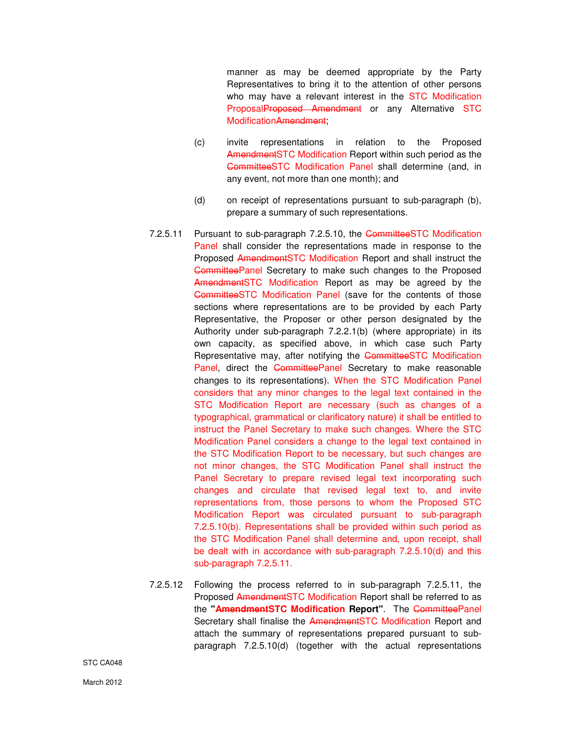manner as may be deemed appropriate by the Party Representatives to bring it to the attention of other persons who may have a relevant interest in the STC Modification ProposalProposed Amendment or any Alternative STC ModificationAmendment;

- (c) invite representations in relation to the Proposed AmendmentSTC Modification Report within such period as the CommitteeSTC Modification Panel shall determine (and, in any event, not more than one month); and
- (d) on receipt of representations pursuant to sub-paragraph (b), prepare a summary of such representations.
- 7.2.5.11 Pursuant to sub-paragraph 7.2.5.10, the CommitteeSTC Modification Panel shall consider the representations made in response to the Proposed AmendmentSTC Modification Report and shall instruct the CommitteePanel Secretary to make such changes to the Proposed Amendment STC Modification Report as may be agreed by the CommitteeSTC Modification Panel (save for the contents of those sections where representations are to be provided by each Party Representative, the Proposer or other person designated by the Authority under sub-paragraph 7.2.2.1(b) (where appropriate) in its own capacity, as specified above, in which case such Party Representative may, after notifying the CommitteeSTC Modification Panel, direct the CommitteePanel Secretary to make reasonable changes to its representations). When the STC Modification Panel considers that any minor changes to the legal text contained in the STC Modification Report are necessary (such as changes of a typographical, grammatical or clarificatory nature) it shall be entitled to instruct the Panel Secretary to make such changes. Where the STC Modification Panel considers a change to the legal text contained in the STC Modification Report to be necessary, but such changes are not minor changes, the STC Modification Panel shall instruct the Panel Secretary to prepare revised legal text incorporating such changes and circulate that revised legal text to, and invite representations from, those persons to whom the Proposed STC Modification Report was circulated pursuant to sub-paragraph 7.2.5.10(b). Representations shall be provided within such period as the STC Modification Panel shall determine and, upon receipt, shall be dealt with in accordance with sub-paragraph 7.2.5.10(d) and this sub-paragraph 7.2.5.11.
- 7.2.5.12 Following the process referred to in sub-paragraph 7.2.5.11, the Proposed AmendmentSTC Modification Report shall be referred to as the **"AmendmentSTC Modification Report"**. The CommitteePanel Secretary shall finalise the AmendmentSTC Modification Report and attach the summary of representations prepared pursuant to subparagraph 7.2.5.10(d) (together with the actual representations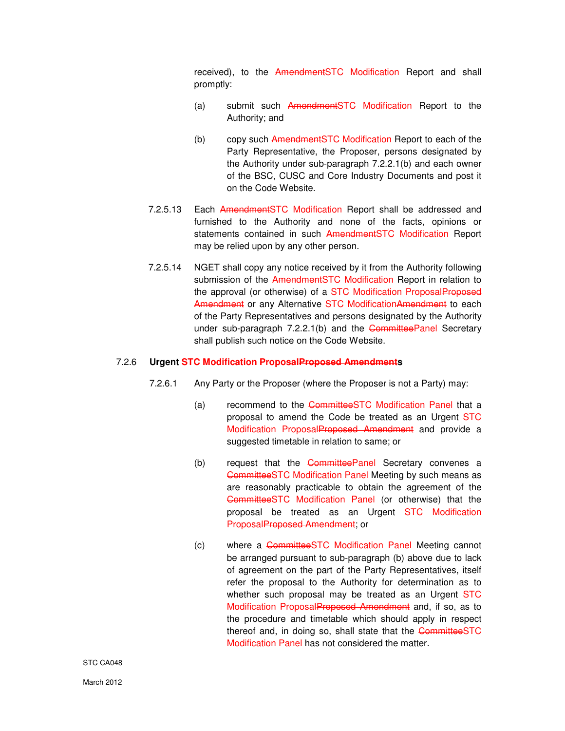received), to the AmendmentSTC Modification Report and shall promptly:

- (a) submit such AmendmentSTC Modification Report to the Authority; and
- (b) copy such AmendmentSTC Modification Report to each of the Party Representative, the Proposer, persons designated by the Authority under sub-paragraph 7.2.2.1(b) and each owner of the BSC, CUSC and Core Industry Documents and post it on the Code Website.
- 7.2.5.13 Each AmendmentSTC Modification Report shall be addressed and furnished to the Authority and none of the facts, opinions or statements contained in such AmendmentSTC Modification Report may be relied upon by any other person.
- 7.2.5.14 NGET shall copy any notice received by it from the Authority following submission of the AmendmentSTC Modification Report in relation to the approval (or otherwise) of a STC Modification ProposalProposed Amendment or any Alternative STC ModificationAmendment to each of the Party Representatives and persons designated by the Authority under sub-paragraph 7.2.2.1(b) and the CommitteePanel Secretary shall publish such notice on the Code Website.

#### 7.2.6 **Urgent STC Modification ProposalProposed Amendments**

- 7.2.6.1 Any Party or the Proposer (where the Proposer is not a Party) may:
	- (a) recommend to the CommitteeSTC Modification Panel that a proposal to amend the Code be treated as an Urgent STC Modification ProposalProposed Amendment and provide a suggested timetable in relation to same; or
	- (b) request that the **CommitteePanel** Secretary convenes a CommitteeSTC Modification Panel Meeting by such means as are reasonably practicable to obtain the agreement of the CommitteeSTC Modification Panel (or otherwise) that the proposal be treated as an Urgent STC Modification ProposalProposed Amendment; or
	- (c) where a CommitteeSTC Modification Panel Meeting cannot be arranged pursuant to sub-paragraph (b) above due to lack of agreement on the part of the Party Representatives, itself refer the proposal to the Authority for determination as to whether such proposal may be treated as an Urgent STC Modification ProposalProposed Amendment and, if so, as to the procedure and timetable which should apply in respect thereof and, in doing so, shall state that the CommitteeSTC Modification Panel has not considered the matter.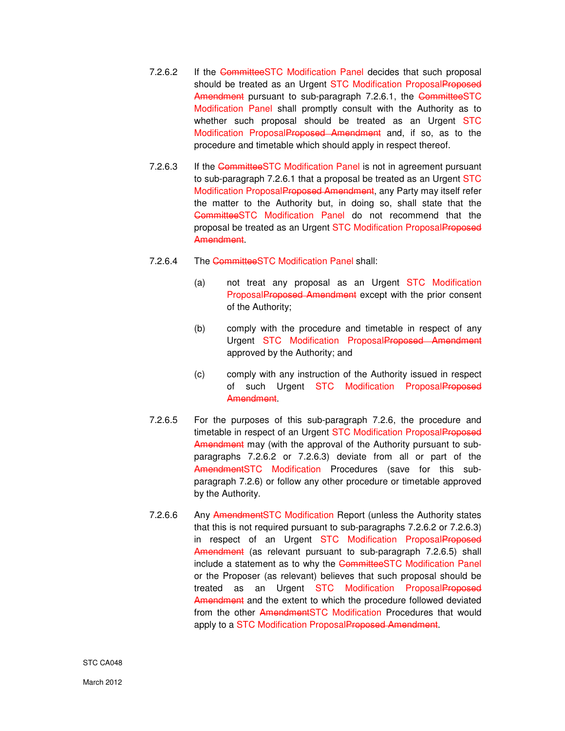- 7.2.6.2 If the CommitteeSTC Modification Panel decides that such proposal should be treated as an Urgent STC Modification ProposalProposed Amendment pursuant to sub-paragraph 7.2.6.1, the CommitteeSTC Modification Panel shall promptly consult with the Authority as to whether such proposal should be treated as an Urgent STC Modification ProposalProposed Amendment and, if so, as to the procedure and timetable which should apply in respect thereof.
- 7.2.6.3 If the CommitteeSTC Modification Panel is not in agreement pursuant to sub-paragraph 7.2.6.1 that a proposal be treated as an Urgent STC Modification Proposal Proposed Amendment, any Party may itself refer the matter to the Authority but, in doing so, shall state that the CommitteeSTC Modification Panel do not recommend that the proposal be treated as an Urgent STC Modification ProposalProposed Amendment.
- 7.2.6.4 The CommitteeSTC Modification Panel shall:
	- (a) not treat any proposal as an Urgent STC Modification ProposalProposed Amendment except with the prior consent of the Authority;
	- (b) comply with the procedure and timetable in respect of any Urgent STC Modification ProposalProposed Amendment approved by the Authority; and
	- (c) comply with any instruction of the Authority issued in respect of such Urgent STC Modification ProposalProposed Amendment.
- 7.2.6.5 For the purposes of this sub-paragraph 7.2.6, the procedure and timetable in respect of an Urgent STC Modification ProposalProposed Amendment may (with the approval of the Authority pursuant to subparagraphs 7.2.6.2 or 7.2.6.3) deviate from all or part of the AmendmentSTC Modification Procedures (save for this subparagraph 7.2.6) or follow any other procedure or timetable approved by the Authority.
- 7.2.6.6 Any AmendmentSTC Modification Report (unless the Authority states that this is not required pursuant to sub-paragraphs 7.2.6.2 or 7.2.6.3) in respect of an Urgent STC Modification ProposalProposed Amendment (as relevant pursuant to sub-paragraph 7.2.6.5) shall include a statement as to why the CommitteeSTC Modification Panel or the Proposer (as relevant) believes that such proposal should be treated as an Urgent STC Modification ProposalProposed Amendment and the extent to which the procedure followed deviated from the other AmendmentSTC Modification Procedures that would apply to a STC Modification ProposalProposed Amendment.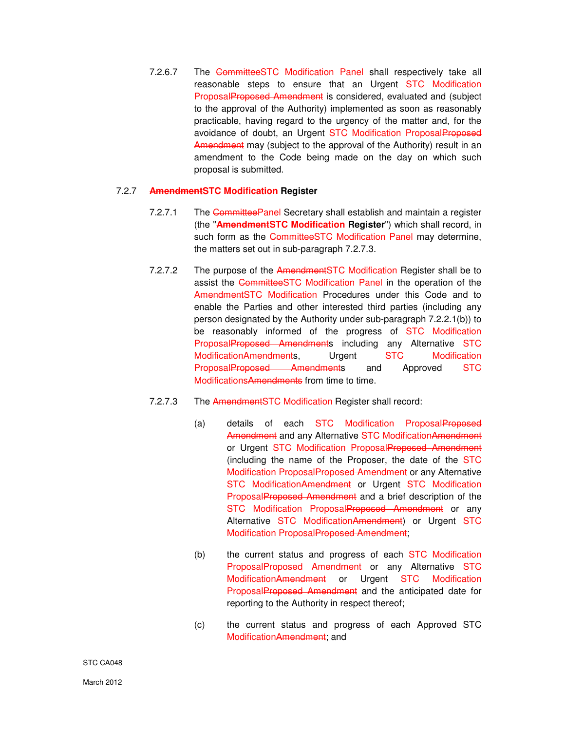7.2.6.7 The CommitteeSTC Modification Panel shall respectively take all reasonable steps to ensure that an Urgent STC Modification ProposalProposed Amendment is considered, evaluated and (subject to the approval of the Authority) implemented as soon as reasonably practicable, having regard to the urgency of the matter and, for the avoidance of doubt, an Urgent STC Modification ProposalProposed Amendment may (subject to the approval of the Authority) result in an amendment to the Code being made on the day on which such proposal is submitted.

# 7.2.7 **AmendmentSTC Modification Register**

- 7.2.7.1 The CommitteePanel Secretary shall establish and maintain a register (the "**AmendmentSTC Modification Register**") which shall record, in such form as the CommitteeSTC Modification Panel may determine, the matters set out in sub-paragraph 7.2.7.3.
- 7.2.7.2 The purpose of the AmendmentSTC Modification Register shall be to assist the CommitteeSTC Modification Panel in the operation of the AmendmentSTC Modification Procedures under this Code and to enable the Parties and other interested third parties (including any person designated by the Authority under sub-paragraph 7.2.2.1(b)) to be reasonably informed of the progress of STC Modification ProposalProposed Amendments including any Alternative STC ModificationAmendments, Urgent STC Modification ProposalProposed Amendments and Approved STC ModificationsAmendments from time to time.
- 7.2.7.3 The AmendmentSTC Modification Register shall record:
	- (a) details of each STC Modification ProposalProposed Amendment and any Alternative STC Modification Amendment or Urgent STC Modification ProposalProposed Amendment (including the name of the Proposer, the date of the STC Modification ProposalProposed Amendment or any Alternative STC ModificationAmendment or Urgent STC Modification ProposalProposed Amendment and a brief description of the STC Modification ProposalProposed Amendment or any Alternative STC ModificationAmendment) or Urgent STC Modification ProposalProposed Amendment;
	- (b) the current status and progress of each STC Modification ProposalProposed Amendment or any Alternative STC ModificationAmendment or Urgent STC Modification ProposalProposed Amendment and the anticipated date for reporting to the Authority in respect thereof;
	- (c) the current status and progress of each Approved STC ModificationAmendment; and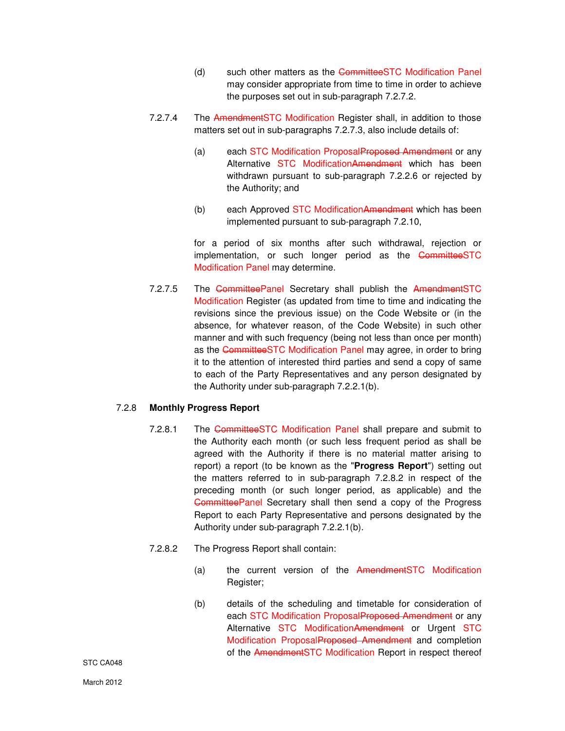- (d) such other matters as the CommitteeSTC Modification Panel may consider appropriate from time to time in order to achieve the purposes set out in sub-paragraph 7.2.7.2.
- 7.2.7.4 The AmendmentSTC Modification Register shall, in addition to those matters set out in sub-paragraphs 7.2.7.3, also include details of:
	- (a) each STC Modification ProposalProposed Amendment or any Alternative STC ModificationAmendment which has been withdrawn pursuant to sub-paragraph 7.2.2.6 or rejected by the Authority; and
	- (b) each Approved STC ModificationAmendment which has been implemented pursuant to sub-paragraph 7.2.10,

for a period of six months after such withdrawal, rejection or implementation, or such longer period as the CommitteeSTC Modification Panel may determine.

7.2.7.5 The CommitteePanel Secretary shall publish the AmendmentSTC Modification Register (as updated from time to time and indicating the revisions since the previous issue) on the Code Website or (in the absence, for whatever reason, of the Code Website) in such other manner and with such frequency (being not less than once per month) as the CommitteeSTC Modification Panel may agree, in order to bring it to the attention of interested third parties and send a copy of same to each of the Party Representatives and any person designated by the Authority under sub-paragraph 7.2.2.1(b).

# 7.2.8 **Monthly Progress Report**

- 7.2.8.1 The CommitteeSTC Modification Panel shall prepare and submit to the Authority each month (or such less frequent period as shall be agreed with the Authority if there is no material matter arising to report) a report (to be known as the "**Progress Report**") setting out the matters referred to in sub-paragraph 7.2.8.2 in respect of the preceding month (or such longer period, as applicable) and the CommitteePanel Secretary shall then send a copy of the Progress Report to each Party Representative and persons designated by the Authority under sub-paragraph 7.2.2.1(b).
- 7.2.8.2 The Progress Report shall contain:
	- (a) the current version of the AmendmentSTC Modification Register;
	- (b) details of the scheduling and timetable for consideration of each STC Modification ProposalProposed Amendment or any Alternative STC ModificationAmendment or Urgent STC Modification ProposalProposed Amendment and completion of the AmendmentSTC Modification Report in respect thereof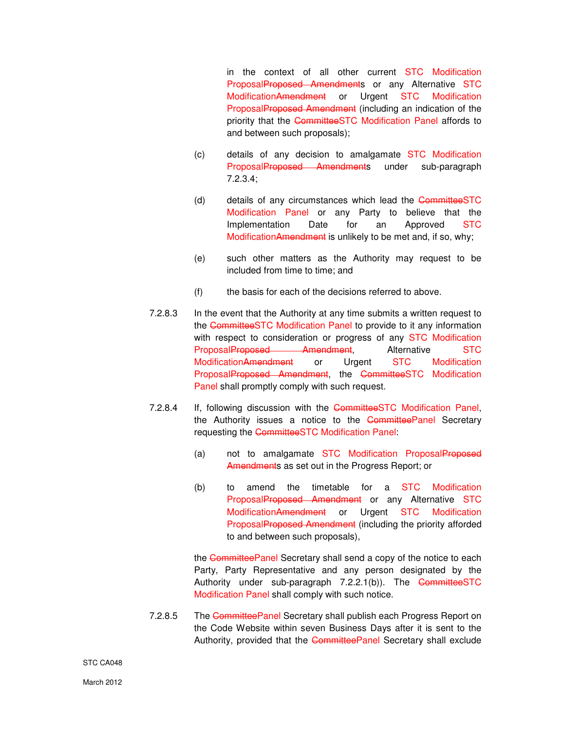in the context of all other current STC Modification ProposalProposed Amendments or any Alternative STC ModificationAmendment or Urgent STC Modification ProposalProposed Amendment (including an indication of the priority that the CommitteeSTC Modification Panel affords to and between such proposals);

- (c) details of any decision to amalgamate STC Modification ProposalProposed Amendments under sub-paragraph 7.2.3.4;
- (d) details of any circumstances which lead the CommitteeSTC Modification Panel or any Party to believe that the Implementation Date for an Approved STC ModificationAmendment is unlikely to be met and, if so, why;
- (e) such other matters as the Authority may request to be included from time to time; and
- (f) the basis for each of the decisions referred to above.
- 7.2.8.3 In the event that the Authority at any time submits a written request to the CommitteeSTC Modification Panel to provide to it any information with respect to consideration or progress of any STC Modification ProposalProposed Amendment, Alternative STC ModificationAmendment or Urgent STC Modification ProposalProposed Amendment, the CommitteeSTC Modification Panel shall promptly comply with such request.
- 7.2.8.4 If, following discussion with the CommitteeSTC Modification Panel, the Authority issues a notice to the CommitteePanel Secretary requesting the CommitteeSTC Modification Panel:
	- (a) not to amalgamate STC Modification ProposalProposed Amendments as set out in the Progress Report; or
	- (b) to amend the timetable for a STC Modification ProposalProposed Amendment or any Alternative STC ModificationAmendment or Urgent STC Modification ProposalProposed Amendment (including the priority afforded to and between such proposals),

the CommitteePanel Secretary shall send a copy of the notice to each Party, Party Representative and any person designated by the Authority under sub-paragraph 7.2.2.1(b)). The CommitteeSTC Modification Panel shall comply with such notice.

7.2.8.5 The Committee Panel Secretary shall publish each Progress Report on the Code Website within seven Business Days after it is sent to the Authority, provided that the CommitteePanel Secretary shall exclude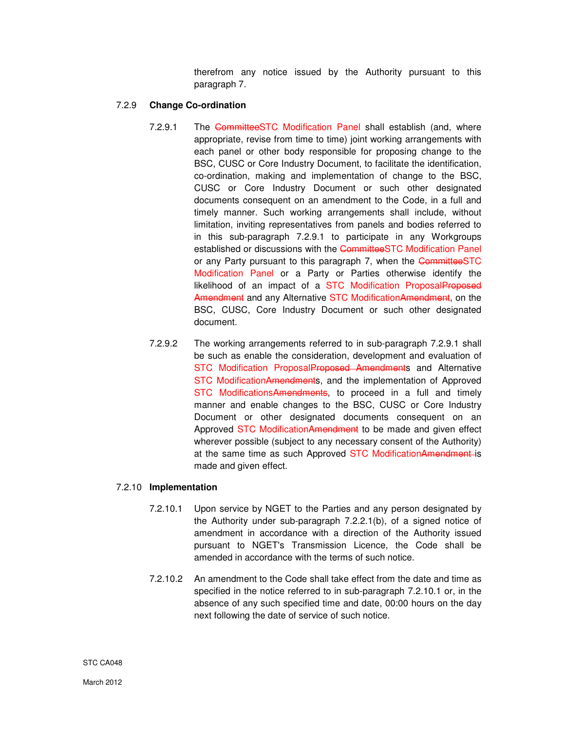therefrom any notice issued by the Authority pursuant to this paragraph 7.

# 7.2.9 **Change Co-ordination**

- 7.2.9.1 The CommitteeSTC Modification Panel shall establish (and, where appropriate, revise from time to time) joint working arrangements with each panel or other body responsible for proposing change to the BSC, CUSC or Core Industry Document, to facilitate the identification, co-ordination, making and implementation of change to the BSC, CUSC or Core Industry Document or such other designated documents consequent on an amendment to the Code, in a full and timely manner. Such working arrangements shall include, without limitation, inviting representatives from panels and bodies referred to in this sub-paragraph 7.2.9.1 to participate in any Workgroups established or discussions with the CommitteeSTC Modification Panel or any Party pursuant to this paragraph 7, when the CommitteeSTC Modification Panel or a Party or Parties otherwise identify the likelihood of an impact of a STC Modification ProposalProposed Amendment and any Alternative STC Modification Amendment, on the BSC, CUSC, Core Industry Document or such other designated document.
- 7.2.9.2 The working arrangements referred to in sub-paragraph 7.2.9.1 shall be such as enable the consideration, development and evaluation of STC Modification ProposalProposed Amendments and Alternative STC ModificationAmendments, and the implementation of Approved STC ModificationsAmendments, to proceed in a full and timely manner and enable changes to the BSC, CUSC or Core Industry Document or other designated documents consequent on an Approved STC ModificationAmendment to be made and given effect wherever possible (subject to any necessary consent of the Authority) at the same time as such Approved STC ModificationAmendment-is made and given effect.

## 7.2.10 **Implementation**

- 7.2.10.1 Upon service by NGET to the Parties and any person designated by the Authority under sub-paragraph 7.2.2.1(b), of a signed notice of amendment in accordance with a direction of the Authority issued pursuant to NGET's Transmission Licence, the Code shall be amended in accordance with the terms of such notice.
- 7.2.10.2 An amendment to the Code shall take effect from the date and time as specified in the notice referred to in sub-paragraph 7.2.10.1 or, in the absence of any such specified time and date, 00:00 hours on the day next following the date of service of such notice.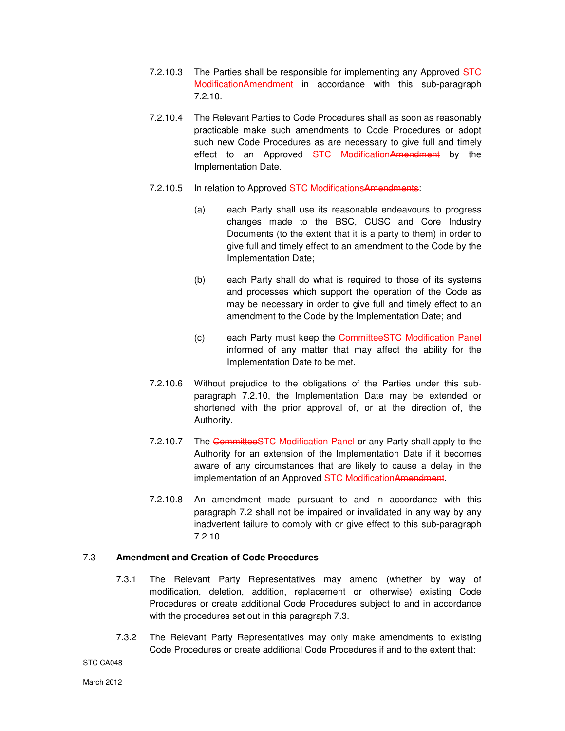- 7.2.10.3 The Parties shall be responsible for implementing any Approved STC ModificationAmendment in accordance with this sub-paragraph 7.2.10.
- 7.2.10.4 The Relevant Parties to Code Procedures shall as soon as reasonably practicable make such amendments to Code Procedures or adopt such new Code Procedures as are necessary to give full and timely effect to an Approved STC ModificationAmendment by the Implementation Date.
- 7.2.10.5 In relation to Approved STC ModificationsAmendments:
	- (a) each Party shall use its reasonable endeavours to progress changes made to the BSC, CUSC and Core Industry Documents (to the extent that it is a party to them) in order to give full and timely effect to an amendment to the Code by the Implementation Date;
	- (b) each Party shall do what is required to those of its systems and processes which support the operation of the Code as may be necessary in order to give full and timely effect to an amendment to the Code by the Implementation Date; and
	- (c) each Party must keep the CommitteeSTC Modification Panel informed of any matter that may affect the ability for the Implementation Date to be met.
- 7.2.10.6 Without prejudice to the obligations of the Parties under this subparagraph 7.2.10, the Implementation Date may be extended or shortened with the prior approval of, or at the direction of, the Authority.
- 7.2.10.7 The CommitteeSTC Modification Panel or any Party shall apply to the Authority for an extension of the Implementation Date if it becomes aware of any circumstances that are likely to cause a delay in the implementation of an Approved STC ModificationAmendment.
- 7.2.10.8 An amendment made pursuant to and in accordance with this paragraph 7.2 shall not be impaired or invalidated in any way by any inadvertent failure to comply with or give effect to this sub-paragraph 7.2.10.

## 7.3 **Amendment and Creation of Code Procedures**

- 7.3.1 The Relevant Party Representatives may amend (whether by way of modification, deletion, addition, replacement or otherwise) existing Code Procedures or create additional Code Procedures subject to and in accordance with the procedures set out in this paragraph 7.3.
- 7.3.2 The Relevant Party Representatives may only make amendments to existing Code Procedures or create additional Code Procedures if and to the extent that:

STC CA048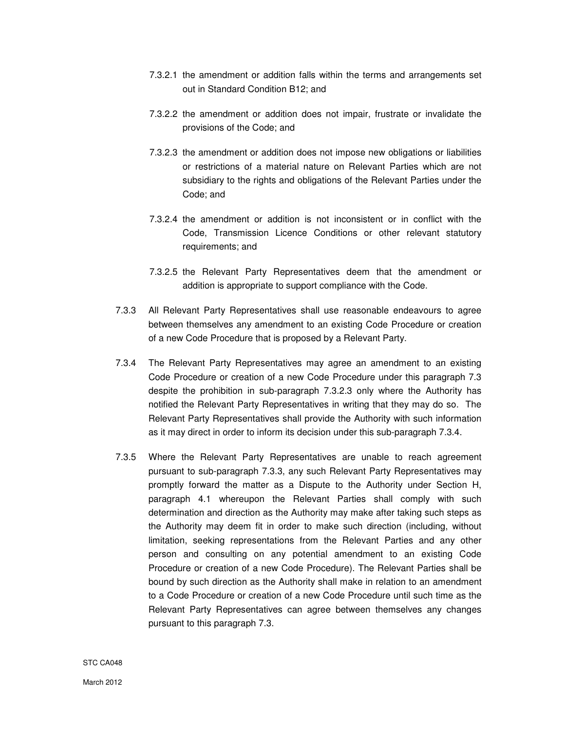- 7.3.2.1 the amendment or addition falls within the terms and arrangements set out in Standard Condition B12; and
- 7.3.2.2 the amendment or addition does not impair, frustrate or invalidate the provisions of the Code; and
- 7.3.2.3 the amendment or addition does not impose new obligations or liabilities or restrictions of a material nature on Relevant Parties which are not subsidiary to the rights and obligations of the Relevant Parties under the Code; and
- 7.3.2.4 the amendment or addition is not inconsistent or in conflict with the Code, Transmission Licence Conditions or other relevant statutory requirements; and
- 7.3.2.5 the Relevant Party Representatives deem that the amendment or addition is appropriate to support compliance with the Code.
- 7.3.3 All Relevant Party Representatives shall use reasonable endeavours to agree between themselves any amendment to an existing Code Procedure or creation of a new Code Procedure that is proposed by a Relevant Party.
- 7.3.4 The Relevant Party Representatives may agree an amendment to an existing Code Procedure or creation of a new Code Procedure under this paragraph 7.3 despite the prohibition in sub-paragraph 7.3.2.3 only where the Authority has notified the Relevant Party Representatives in writing that they may do so. The Relevant Party Representatives shall provide the Authority with such information as it may direct in order to inform its decision under this sub-paragraph 7.3.4.
- 7.3.5 Where the Relevant Party Representatives are unable to reach agreement pursuant to sub-paragraph 7.3.3, any such Relevant Party Representatives may promptly forward the matter as a Dispute to the Authority under Section H, paragraph 4.1 whereupon the Relevant Parties shall comply with such determination and direction as the Authority may make after taking such steps as the Authority may deem fit in order to make such direction (including, without limitation, seeking representations from the Relevant Parties and any other person and consulting on any potential amendment to an existing Code Procedure or creation of a new Code Procedure). The Relevant Parties shall be bound by such direction as the Authority shall make in relation to an amendment to a Code Procedure or creation of a new Code Procedure until such time as the Relevant Party Representatives can agree between themselves any changes pursuant to this paragraph 7.3.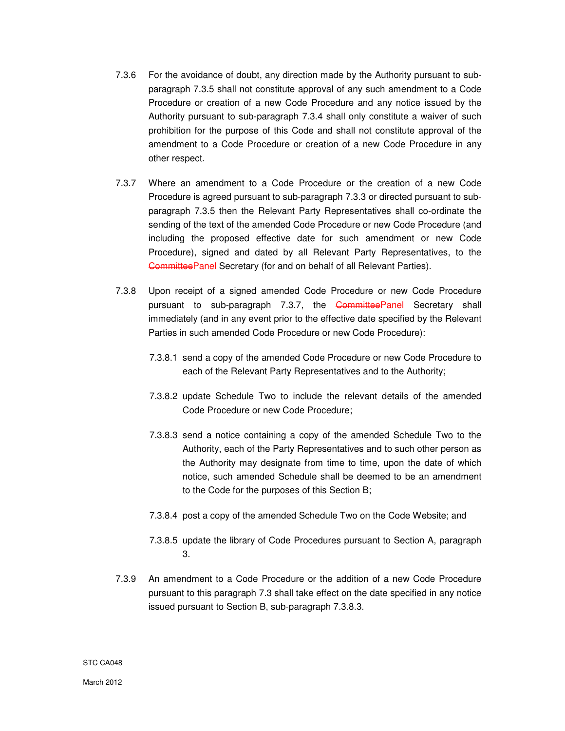- 7.3.6 For the avoidance of doubt, any direction made by the Authority pursuant to subparagraph 7.3.5 shall not constitute approval of any such amendment to a Code Procedure or creation of a new Code Procedure and any notice issued by the Authority pursuant to sub-paragraph 7.3.4 shall only constitute a waiver of such prohibition for the purpose of this Code and shall not constitute approval of the amendment to a Code Procedure or creation of a new Code Procedure in any other respect.
- 7.3.7 Where an amendment to a Code Procedure or the creation of a new Code Procedure is agreed pursuant to sub-paragraph 7.3.3 or directed pursuant to subparagraph 7.3.5 then the Relevant Party Representatives shall co-ordinate the sending of the text of the amended Code Procedure or new Code Procedure (and including the proposed effective date for such amendment or new Code Procedure), signed and dated by all Relevant Party Representatives, to the CommitteePanel Secretary (for and on behalf of all Relevant Parties).
- 7.3.8 Upon receipt of a signed amended Code Procedure or new Code Procedure pursuant to sub-paragraph 7.3.7, the CommitteePanel Secretary shall immediately (and in any event prior to the effective date specified by the Relevant Parties in such amended Code Procedure or new Code Procedure):
	- 7.3.8.1 send a copy of the amended Code Procedure or new Code Procedure to each of the Relevant Party Representatives and to the Authority;
	- 7.3.8.2 update Schedule Two to include the relevant details of the amended Code Procedure or new Code Procedure;
	- 7.3.8.3 send a notice containing a copy of the amended Schedule Two to the Authority, each of the Party Representatives and to such other person as the Authority may designate from time to time, upon the date of which notice, such amended Schedule shall be deemed to be an amendment to the Code for the purposes of this Section B;
	- 7.3.8.4 post a copy of the amended Schedule Two on the Code Website; and
	- 7.3.8.5 update the library of Code Procedures pursuant to Section A, paragraph 3.
- 7.3.9 An amendment to a Code Procedure or the addition of a new Code Procedure pursuant to this paragraph 7.3 shall take effect on the date specified in any notice issued pursuant to Section B, sub-paragraph 7.3.8.3.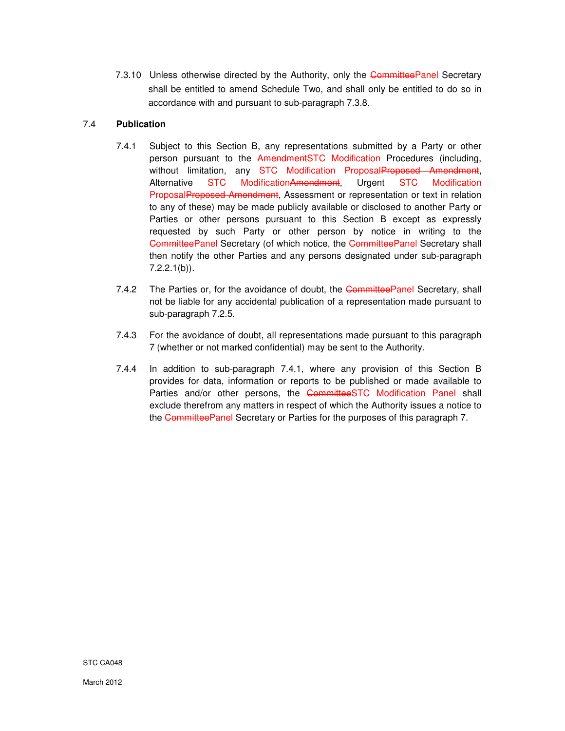7.3.10 Unless otherwise directed by the Authority, only the CommitteePanel Secretary shall be entitled to amend Schedule Two, and shall only be entitled to do so in accordance with and pursuant to sub-paragraph 7.3.8.

# 7.4 **Publication**

- 7.4.1 Subject to this Section B, any representations submitted by a Party or other person pursuant to the AmendmentSTC Modification Procedures (including, without limitation, any STC Modification ProposalProposed Amendment, Alternative STC ModificationAmendment, Urgent STC Modification ProposalProposed Amendment, Assessment or representation or text in relation to any of these) may be made publicly available or disclosed to another Party or Parties or other persons pursuant to this Section B except as expressly requested by such Party or other person by notice in writing to the CommitteePanel Secretary (of which notice, the CommitteePanel Secretary shall then notify the other Parties and any persons designated under sub-paragraph  $7.2.2.1(b)$ .
- 7.4.2 The Parties or, for the avoidance of doubt, the CommitteePanel Secretary, shall not be liable for any accidental publication of a representation made pursuant to sub-paragraph 7.2.5.
- 7.4.3 For the avoidance of doubt, all representations made pursuant to this paragraph 7 (whether or not marked confidential) may be sent to the Authority.
- 7.4.4 In addition to sub-paragraph 7.4.1, where any provision of this Section B provides for data, information or reports to be published or made available to Parties and/or other persons, the CommitteeSTC Modification Panel shall exclude therefrom any matters in respect of which the Authority issues a notice to the CommitteePanel Secretary or Parties for the purposes of this paragraph 7.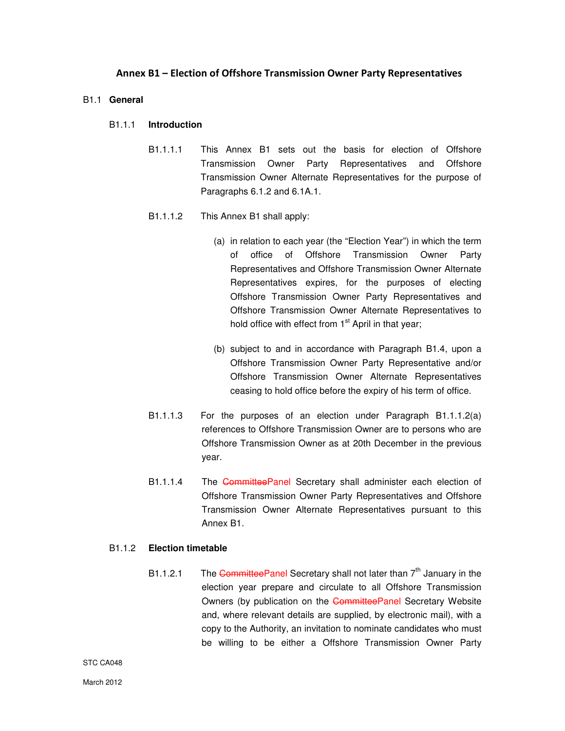# Annex B1 – Election of Offshore Transmission Owner Party Representatives

#### B1.1 **General**

#### B1.1.1 **Introduction**

B1.1.1.1 This Annex B1 sets out the basis for election of Offshore Transmission Owner Party Representatives and Offshore Transmission Owner Alternate Representatives for the purpose of Paragraphs 6.1.2 and 6.1A.1.

#### B1.1.1.2 This Annex B1 shall apply:

- (a) in relation to each year (the "Election Year") in which the term of office of Offshore Transmission Owner Party Representatives and Offshore Transmission Owner Alternate Representatives expires, for the purposes of electing Offshore Transmission Owner Party Representatives and Offshore Transmission Owner Alternate Representatives to hold office with effect from  $1<sup>st</sup>$  April in that year;
- (b) subject to and in accordance with Paragraph B1.4, upon a Offshore Transmission Owner Party Representative and/or Offshore Transmission Owner Alternate Representatives ceasing to hold office before the expiry of his term of office.
- B1.1.1.3 For the purposes of an election under Paragraph B1.1.1.2(a) references to Offshore Transmission Owner are to persons who are Offshore Transmission Owner as at 20th December in the previous year.
- B1.1.1.4 The CommitteePanel Secretary shall administer each election of Offshore Transmission Owner Party Representatives and Offshore Transmission Owner Alternate Representatives pursuant to this Annex B1.

## B1.1.2 **Election timetable**

B1.1.2.1 The Committee Panel Secretary shall not later than  $7<sup>th</sup>$  January in the election year prepare and circulate to all Offshore Transmission Owners (by publication on the CommitteePanel Secretary Website and, where relevant details are supplied, by electronic mail), with a copy to the Authority, an invitation to nominate candidates who must be willing to be either a Offshore Transmission Owner Party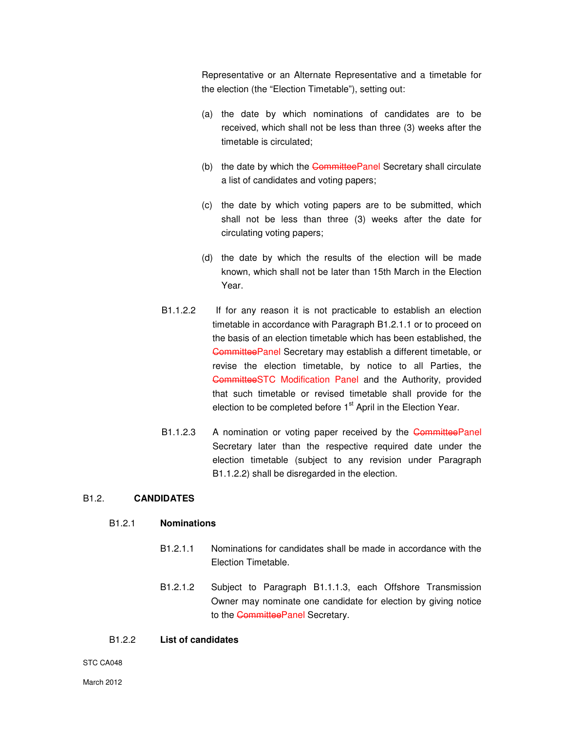Representative or an Alternate Representative and a timetable for the election (the "Election Timetable"), setting out:

- (a) the date by which nominations of candidates are to be received, which shall not be less than three (3) weeks after the timetable is circulated;
- (b) the date by which the CommitteePanel Secretary shall circulate a list of candidates and voting papers;
- (c) the date by which voting papers are to be submitted, which shall not be less than three (3) weeks after the date for circulating voting papers;
- (d) the date by which the results of the election will be made known, which shall not be later than 15th March in the Election Year.
- B1.1.2.2 If for any reason it is not practicable to establish an election timetable in accordance with Paragraph B1.2.1.1 or to proceed on the basis of an election timetable which has been established, the CommitteePanel Secretary may establish a different timetable, or revise the election timetable, by notice to all Parties, the CommitteeSTC Modification Panel and the Authority, provided that such timetable or revised timetable shall provide for the election to be completed before  $1<sup>st</sup>$  April in the Election Year.
- B1.1.2.3 A nomination or voting paper received by the CommitteePanel Secretary later than the respective required date under the election timetable (subject to any revision under Paragraph B1.1.2.2) shall be disregarded in the election.

# B1.2. **CANDIDATES**

# B1.2.1 **Nominations**

- B1.2.1.1 Nominations for candidates shall be made in accordance with the Election Timetable.
- B1.2.1.2 Subject to Paragraph B1.1.1.3, each Offshore Transmission Owner may nominate one candidate for election by giving notice to the CommitteePanel Secretary.

# B1.2.2 **List of candidates**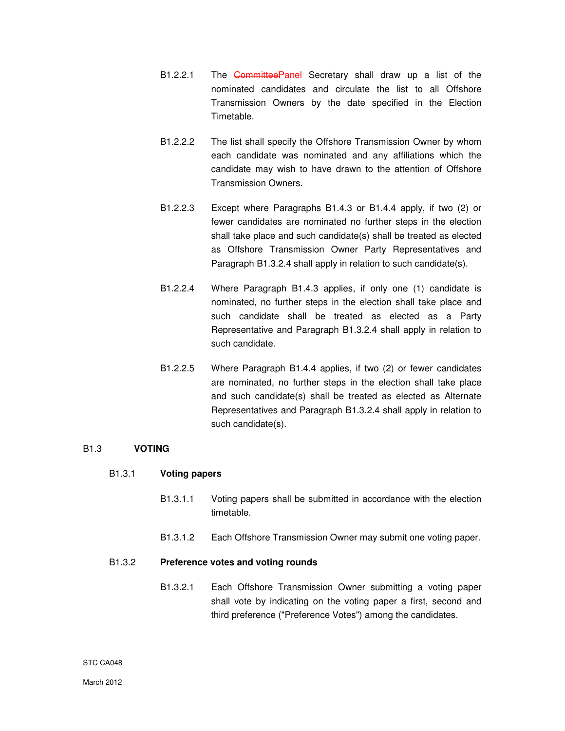- B1.2.2.1 The CommitteePanel Secretary shall draw up a list of the nominated candidates and circulate the list to all Offshore Transmission Owners by the date specified in the Election Timetable.
- B1.2.2.2 The list shall specify the Offshore Transmission Owner by whom each candidate was nominated and any affiliations which the candidate may wish to have drawn to the attention of Offshore Transmission Owners.
- B1.2.2.3 Except where Paragraphs B1.4.3 or B1.4.4 apply, if two (2) or fewer candidates are nominated no further steps in the election shall take place and such candidate(s) shall be treated as elected as Offshore Transmission Owner Party Representatives and Paragraph B1.3.2.4 shall apply in relation to such candidate(s).
- B1.2.2.4 Where Paragraph B1.4.3 applies, if only one (1) candidate is nominated, no further steps in the election shall take place and such candidate shall be treated as elected as a Party Representative and Paragraph B1.3.2.4 shall apply in relation to such candidate.
- B1.2.2.5 Where Paragraph B1.4.4 applies, if two (2) or fewer candidates are nominated, no further steps in the election shall take place and such candidate(s) shall be treated as elected as Alternate Representatives and Paragraph B1.3.2.4 shall apply in relation to such candidate(s).

## B1.3 **VOTING**

## B1.3.1 **Voting papers**

- B1.3.1.1 Voting papers shall be submitted in accordance with the election timetable.
- B1.3.1.2 Each Offshore Transmission Owner may submit one voting paper.

## B1.3.2 **Preference votes and voting rounds**

B1.3.2.1 Each Offshore Transmission Owner submitting a voting paper shall vote by indicating on the voting paper a first, second and third preference ("Preference Votes") among the candidates.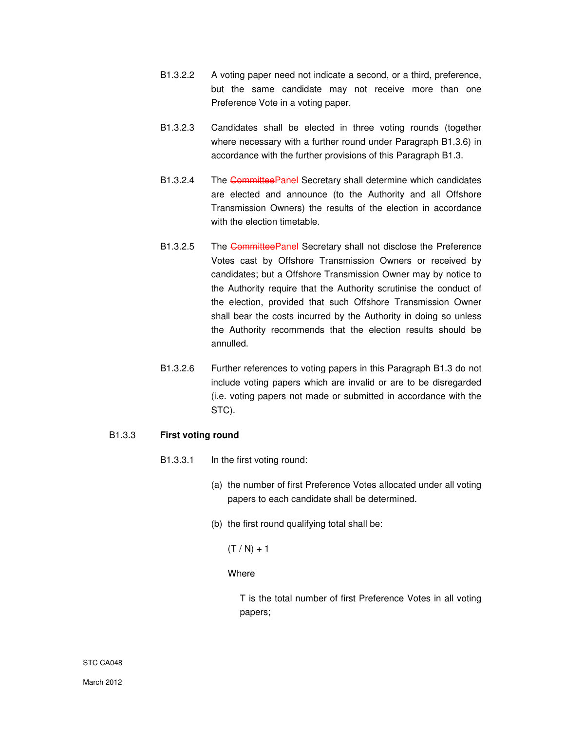- B1.3.2.2 A voting paper need not indicate a second, or a third, preference, but the same candidate may not receive more than one Preference Vote in a voting paper.
- B1.3.2.3 Candidates shall be elected in three voting rounds (together where necessary with a further round under Paragraph B1.3.6) in accordance with the further provisions of this Paragraph B1.3.
- B1.3.2.4 The CommitteePanel Secretary shall determine which candidates are elected and announce (to the Authority and all Offshore Transmission Owners) the results of the election in accordance with the election timetable.
- B1.3.2.5 The CommitteePanel Secretary shall not disclose the Preference Votes cast by Offshore Transmission Owners or received by candidates; but a Offshore Transmission Owner may by notice to the Authority require that the Authority scrutinise the conduct of the election, provided that such Offshore Transmission Owner shall bear the costs incurred by the Authority in doing so unless the Authority recommends that the election results should be annulled.
- B1.3.2.6 Further references to voting papers in this Paragraph B1.3 do not include voting papers which are invalid or are to be disregarded (i.e. voting papers not made or submitted in accordance with the STC).

# B1.3.3 **First voting round**

- B1.3.3.1 In the first voting round:
	- (a) the number of first Preference Votes allocated under all voting papers to each candidate shall be determined.
	- (b) the first round qualifying total shall be:

 $(T / N) + 1$ 

## **Where**

T is the total number of first Preference Votes in all voting papers;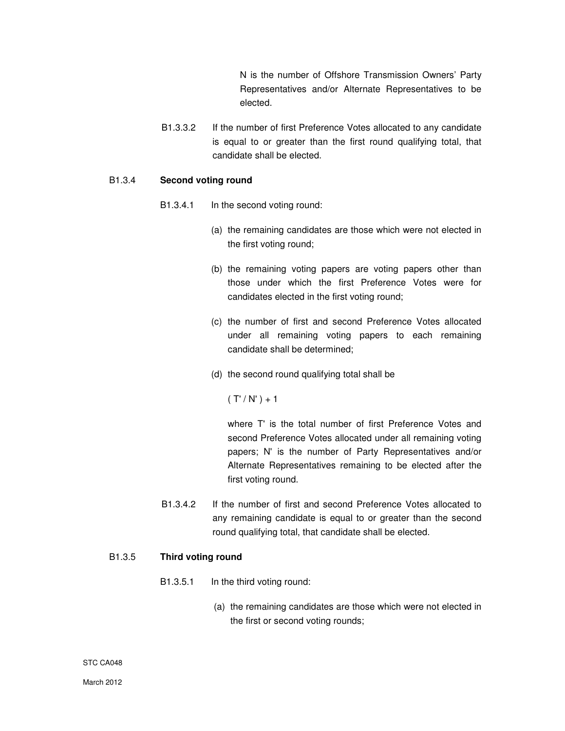N is the number of Offshore Transmission Owners' Party Representatives and/or Alternate Representatives to be elected.

B1.3.3.2 If the number of first Preference Votes allocated to any candidate is equal to or greater than the first round qualifying total, that candidate shall be elected.

#### B1.3.4 **Second voting round**

- B1.3.4.1 In the second voting round:
	- (a) the remaining candidates are those which were not elected in the first voting round;
	- (b) the remaining voting papers are voting papers other than those under which the first Preference Votes were for candidates elected in the first voting round;
	- (c) the number of first and second Preference Votes allocated under all remaining voting papers to each remaining candidate shall be determined;
	- (d) the second round qualifying total shall be

 $(T'/N') + 1$ 

where T' is the total number of first Preference Votes and second Preference Votes allocated under all remaining voting papers; N' is the number of Party Representatives and/or Alternate Representatives remaining to be elected after the first voting round.

B1.3.4.2 If the number of first and second Preference Votes allocated to any remaining candidate is equal to or greater than the second round qualifying total, that candidate shall be elected.

#### B1.3.5 **Third voting round**

- B1.3.5.1 In the third voting round:
	- (a) the remaining candidates are those which were not elected in the first or second voting rounds;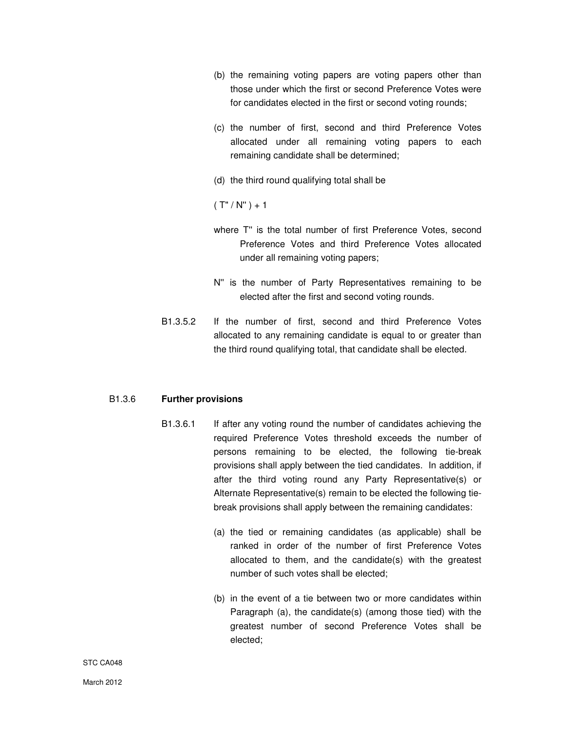- (b) the remaining voting papers are voting papers other than those under which the first or second Preference Votes were for candidates elected in the first or second voting rounds;
- (c) the number of first, second and third Preference Votes allocated under all remaining voting papers to each remaining candidate shall be determined;
- (d) the third round qualifying total shall be

 $(T''/ N'') + 1$ 

- where T'' is the total number of first Preference Votes, second Preference Votes and third Preference Votes allocated under all remaining voting papers;
- N'' is the number of Party Representatives remaining to be elected after the first and second voting rounds.
- B1.3.5.2 If the number of first, second and third Preference Votes allocated to any remaining candidate is equal to or greater than the third round qualifying total, that candidate shall be elected.

## B1.3.6 **Further provisions**

- B1.3.6.1 If after any voting round the number of candidates achieving the required Preference Votes threshold exceeds the number of persons remaining to be elected, the following tie-break provisions shall apply between the tied candidates. In addition, if after the third voting round any Party Representative(s) or Alternate Representative(s) remain to be elected the following tiebreak provisions shall apply between the remaining candidates:
	- (a) the tied or remaining candidates (as applicable) shall be ranked in order of the number of first Preference Votes allocated to them, and the candidate(s) with the greatest number of such votes shall be elected;
	- (b) in the event of a tie between two or more candidates within Paragraph (a), the candidate(s) (among those tied) with the greatest number of second Preference Votes shall be elected;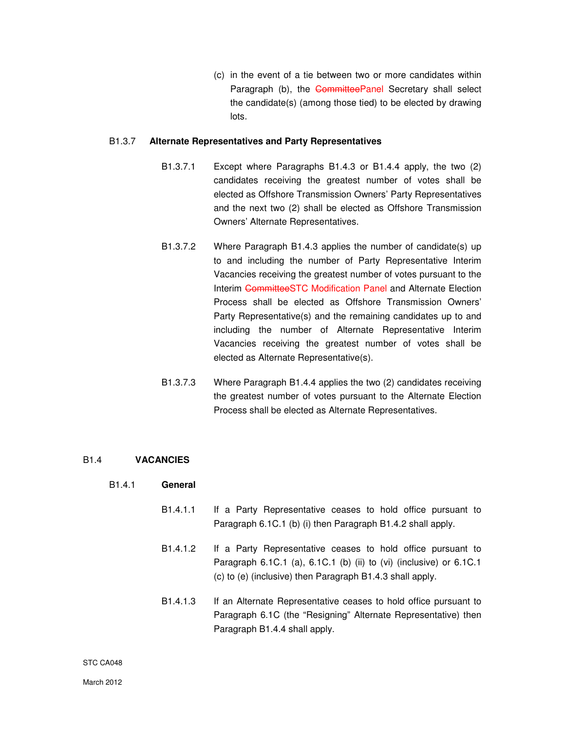(c) in the event of a tie between two or more candidates within Paragraph (b), the CommitteePanel Secretary shall select the candidate(s) (among those tied) to be elected by drawing lots.

#### B1.3.7 **Alternate Representatives and Party Representatives**

- B1.3.7.1 Except where Paragraphs B1.4.3 or B1.4.4 apply, the two (2) candidates receiving the greatest number of votes shall be elected as Offshore Transmission Owners' Party Representatives and the next two (2) shall be elected as Offshore Transmission Owners' Alternate Representatives.
- B1.3.7.2 Where Paragraph B1.4.3 applies the number of candidate(s) up to and including the number of Party Representative Interim Vacancies receiving the greatest number of votes pursuant to the Interim CommitteeSTC Modification Panel and Alternate Election Process shall be elected as Offshore Transmission Owners' Party Representative(s) and the remaining candidates up to and including the number of Alternate Representative Interim Vacancies receiving the greatest number of votes shall be elected as Alternate Representative(s).
- B1.3.7.3 Where Paragraph B1.4.4 applies the two (2) candidates receiving the greatest number of votes pursuant to the Alternate Election Process shall be elected as Alternate Representatives.

## B1.4 **VACANCIES**

## B1.4.1 **General**

- B1.4.1.1 If a Party Representative ceases to hold office pursuant to Paragraph 6.1C.1 (b) (i) then Paragraph B1.4.2 shall apply.
- B1.4.1.2 If a Party Representative ceases to hold office pursuant to Paragraph 6.1C.1 (a), 6.1C.1 (b) (ii) to (vi) (inclusive) or 6.1C.1 (c) to (e) (inclusive) then Paragraph B1.4.3 shall apply.
- B1.4.1.3 If an Alternate Representative ceases to hold office pursuant to Paragraph 6.1C (the "Resigning" Alternate Representative) then Paragraph B1.4.4 shall apply.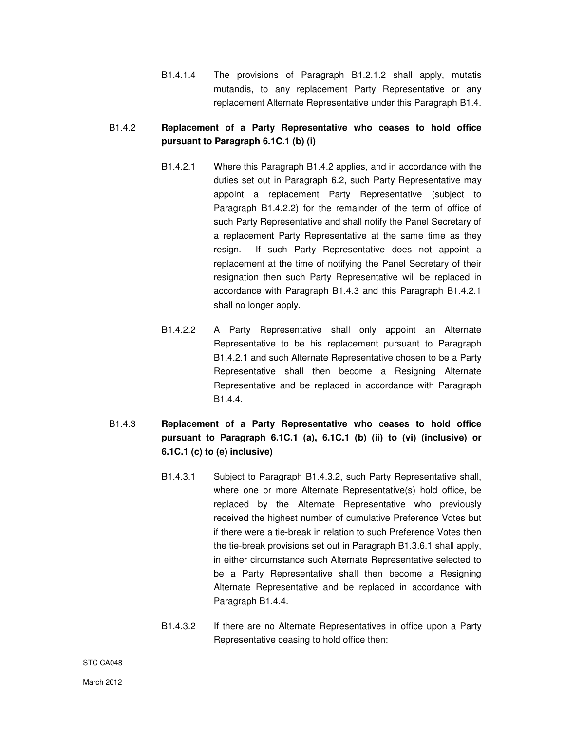B1.4.1.4 The provisions of Paragraph B1.2.1.2 shall apply, mutatis mutandis, to any replacement Party Representative or any replacement Alternate Representative under this Paragraph B1.4.

# B1.4.2 **Replacement of a Party Representative who ceases to hold office pursuant to Paragraph 6.1C.1 (b) (i)**

- B1.4.2.1 Where this Paragraph B1.4.2 applies, and in accordance with the duties set out in Paragraph 6.2, such Party Representative may appoint a replacement Party Representative (subject to Paragraph B1.4.2.2) for the remainder of the term of office of such Party Representative and shall notify the Panel Secretary of a replacement Party Representative at the same time as they resign. If such Party Representative does not appoint a replacement at the time of notifying the Panel Secretary of their resignation then such Party Representative will be replaced in accordance with Paragraph B1.4.3 and this Paragraph B1.4.2.1 shall no longer apply.
- B1.4.2.2 A Party Representative shall only appoint an Alternate Representative to be his replacement pursuant to Paragraph B1.4.2.1 and such Alternate Representative chosen to be a Party Representative shall then become a Resigning Alternate Representative and be replaced in accordance with Paragraph B1.4.4.
- B1.4.3 **Replacement of a Party Representative who ceases to hold office pursuant to Paragraph 6.1C.1 (a), 6.1C.1 (b) (ii) to (vi) (inclusive) or 6.1C.1 (c) to (e) inclusive)**
	- B1.4.3.1 Subject to Paragraph B1.4.3.2, such Party Representative shall, where one or more Alternate Representative(s) hold office, be replaced by the Alternate Representative who previously received the highest number of cumulative Preference Votes but if there were a tie-break in relation to such Preference Votes then the tie-break provisions set out in Paragraph B1.3.6.1 shall apply, in either circumstance such Alternate Representative selected to be a Party Representative shall then become a Resigning Alternate Representative and be replaced in accordance with Paragraph B1.4.4.
	- B1.4.3.2 If there are no Alternate Representatives in office upon a Party Representative ceasing to hold office then: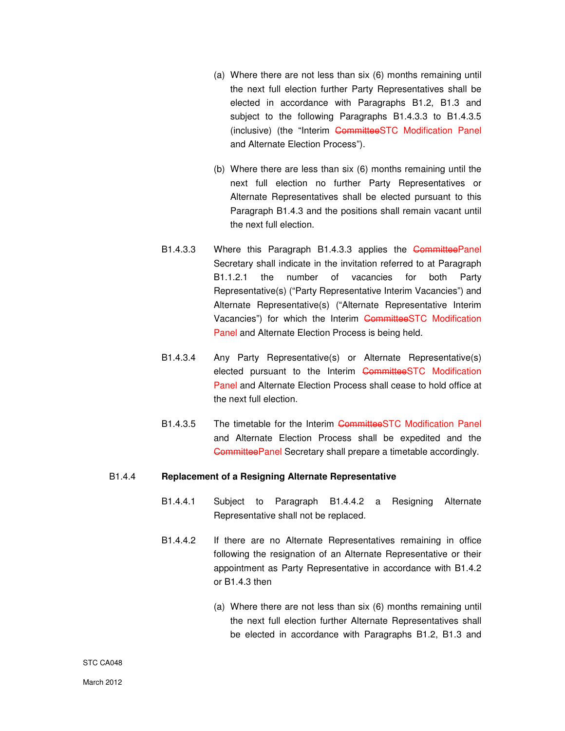- (a) Where there are not less than six (6) months remaining until the next full election further Party Representatives shall be elected in accordance with Paragraphs B1.2, B1.3 and subject to the following Paragraphs B1.4.3.3 to B1.4.3.5 (inclusive) (the "Interim CommitteeSTC Modification Panel and Alternate Election Process").
- (b) Where there are less than six (6) months remaining until the next full election no further Party Representatives or Alternate Representatives shall be elected pursuant to this Paragraph B1.4.3 and the positions shall remain vacant until the next full election.
- B1.4.3.3 Where this Paragraph B1.4.3.3 applies the CommitteePanel Secretary shall indicate in the invitation referred to at Paragraph B1.1.2.1 the number of vacancies for both Party Representative(s) ("Party Representative Interim Vacancies") and Alternate Representative(s) ("Alternate Representative Interim Vacancies") for which the Interim CommitteeSTC Modification Panel and Alternate Election Process is being held.
- B1.4.3.4 Any Party Representative(s) or Alternate Representative(s) elected pursuant to the Interim CommitteeSTC Modification Panel and Alternate Election Process shall cease to hold office at the next full election.
- B1.4.3.5 The timetable for the Interim CommitteeSTC Modification Panel and Alternate Election Process shall be expedited and the CommitteePanel Secretary shall prepare a timetable accordingly.

## B1.4.4 **Replacement of a Resigning Alternate Representative**

- B1.4.4.1 Subject to Paragraph B1.4.4.2 a Resigning Alternate Representative shall not be replaced.
- B1.4.4.2 If there are no Alternate Representatives remaining in office following the resignation of an Alternate Representative or their appointment as Party Representative in accordance with B1.4.2 or B1.4.3 then
	- (a) Where there are not less than six (6) months remaining until the next full election further Alternate Representatives shall be elected in accordance with Paragraphs B1.2, B1.3 and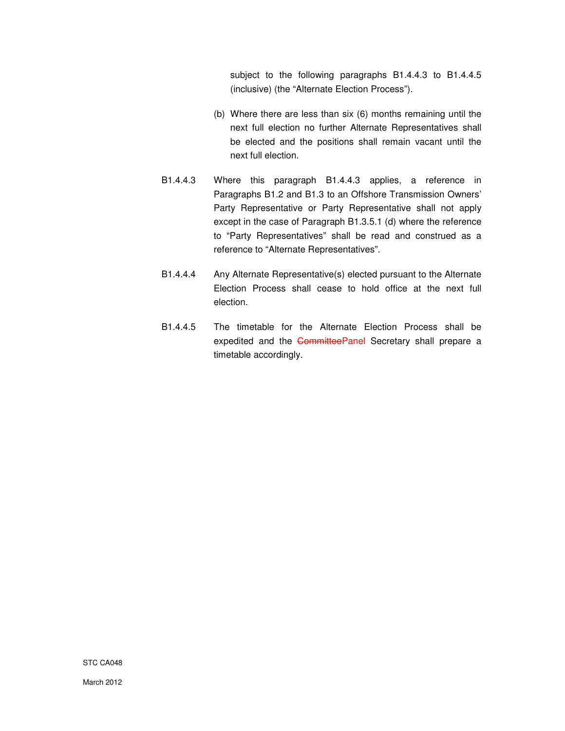subject to the following paragraphs B1.4.4.3 to B1.4.4.5 (inclusive) (the "Alternate Election Process").

- (b) Where there are less than six (6) months remaining until the next full election no further Alternate Representatives shall be elected and the positions shall remain vacant until the next full election.
- B1.4.4.3 Where this paragraph B1.4.4.3 applies, a reference in Paragraphs B1.2 and B1.3 to an Offshore Transmission Owners' Party Representative or Party Representative shall not apply except in the case of Paragraph B1.3.5.1 (d) where the reference to "Party Representatives" shall be read and construed as a reference to "Alternate Representatives".
- B1.4.4.4 Any Alternate Representative(s) elected pursuant to the Alternate Election Process shall cease to hold office at the next full election.
- B1.4.4.5 The timetable for the Alternate Election Process shall be expedited and the CommitteePanel Secretary shall prepare a timetable accordingly.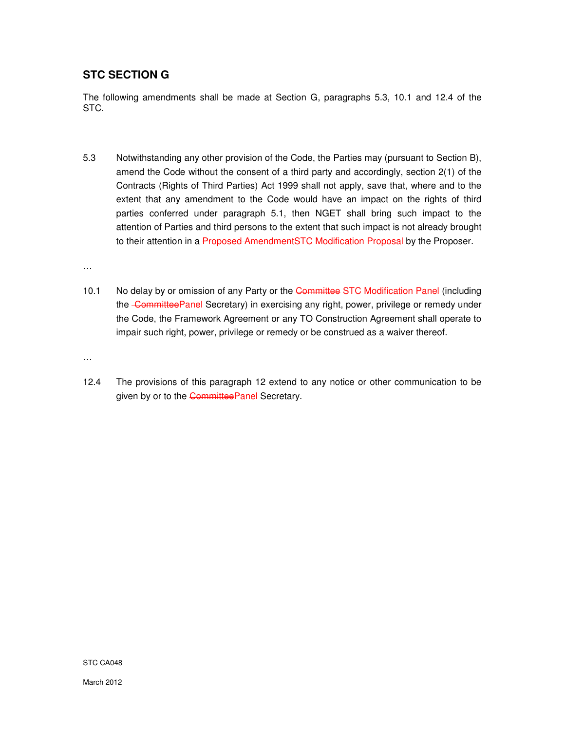# **STC SECTION G**

The following amendments shall be made at Section G, paragraphs 5.3, 10.1 and 12.4 of the STC.

5.3 Notwithstanding any other provision of the Code, the Parties may (pursuant to Section B), amend the Code without the consent of a third party and accordingly, section 2(1) of the Contracts (Rights of Third Parties) Act 1999 shall not apply, save that, where and to the extent that any amendment to the Code would have an impact on the rights of third parties conferred under paragraph 5.1, then NGET shall bring such impact to the attention of Parties and third persons to the extent that such impact is not already brought to their attention in a Proposed AmendmentSTC Modification Proposal by the Proposer.

…

10.1 No delay by or omission of any Party or the Committee STC Modification Panel (including the CommitteePanel Secretary) in exercising any right, power, privilege or remedy under the Code, the Framework Agreement or any TO Construction Agreement shall operate to impair such right, power, privilege or remedy or be construed as a waiver thereof.

…

12.4 The provisions of this paragraph 12 extend to any notice or other communication to be given by or to the CommitteePanel Secretary.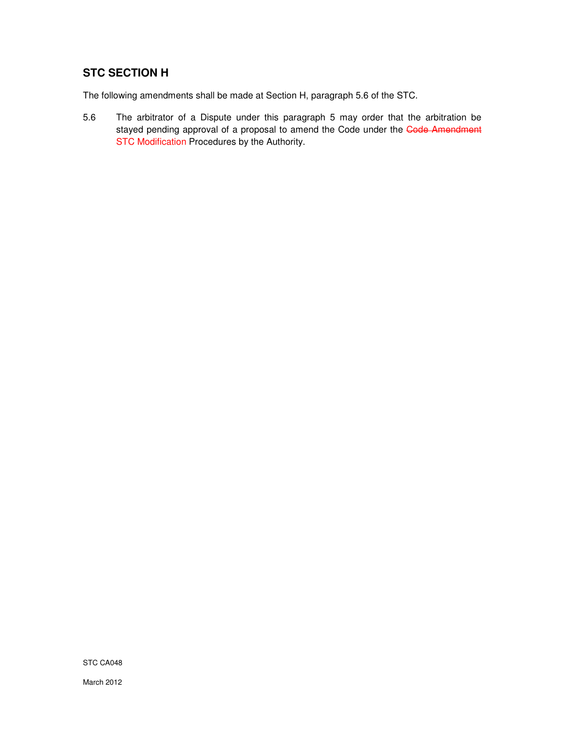# **STC SECTION H**

The following amendments shall be made at Section H, paragraph 5.6 of the STC.

5.6 The arbitrator of a Dispute under this paragraph 5 may order that the arbitration be stayed pending approval of a proposal to amend the Code under the Code Amendment STC Modification Procedures by the Authority.

STC CA048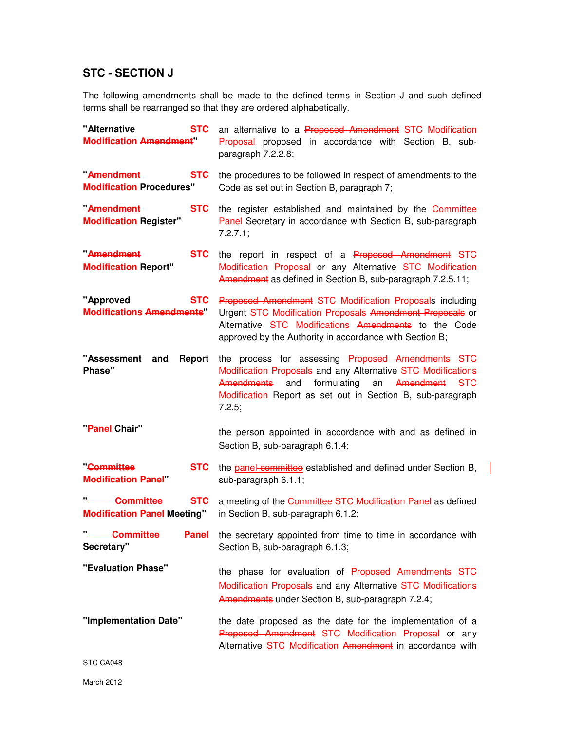# **STC - SECTION J**

The following amendments shall be made to the defined terms in Section J and such defined terms shall be rearranged so that they are ordered alphabetically.

| "Alternative<br><b>STC</b><br><b>Modification Amendment"</b>                      | an alternative to a Proposed Amendment STC Modification<br>Proposal proposed in accordance with Section B, sub-<br>paragraph 7.2.2.8;                                                                                                                          |
|-----------------------------------------------------------------------------------|----------------------------------------------------------------------------------------------------------------------------------------------------------------------------------------------------------------------------------------------------------------|
| Amendment<br><b>STC</b><br><b>Modification Procedures"</b>                        | the procedures to be followed in respect of amendments to the<br>Code as set out in Section B, paragraph 7;                                                                                                                                                    |
| Amendment<br><b>STC</b><br><b>Modification Register"</b>                          | the register established and maintained by the Committee<br>Panel Secretary in accordance with Section B, sub-paragraph<br>7.2.7.1;                                                                                                                            |
| Amendment<br><b>STC</b><br><b>Modification Report"</b>                            | the report in respect of a Proposed Amendment STC<br>Modification Proposal or any Alternative STC Modification<br>Amendment as defined in Section B, sub-paragraph 7.2.5.11;                                                                                   |
| "Approved<br><b>STC</b><br><b>Modifications Amendments"</b>                       | Proposed Amendment STC Modification Proposals including<br>Urgent STC Modification Proposals Amendment Proposals or<br>Alternative STC Modifications Amendments to the Code<br>approved by the Authority in accordance with Section B;                         |
| "Assessment<br>and<br>Report<br>Phase"                                            | the process for assessing Proposed Amendments STC<br>Modification Proposals and any Alternative STC Modifications<br>Amendments<br>formulating<br>Amendment<br>and<br>an<br><b>STC</b><br>Modification Report as set out in Section B, sub-paragraph<br>7.2.5; |
| "Panel Chair"                                                                     | the person appointed in accordance with and as defined in<br>Section B, sub-paragraph 6.1.4;                                                                                                                                                                   |
| <b>Committee</b><br><b>STC</b><br><b>Modification Panel</b>                       | the panel committee established and defined under Section B,<br>sub-paragraph 6.1.1;                                                                                                                                                                           |
| " <sup>-</sup> -----Committee<br><b>STC</b><br><b>Modification Panel Meeting"</b> | a meeting of the Committee STC Modification Panel as defined<br>in Section B, sub-paragraph 6.1.2;                                                                                                                                                             |
| " Committee<br>Panel<br>Secretary"                                                | the secretary appointed from time to time in accordance with<br>Section B, sub-paragraph 6.1.3;                                                                                                                                                                |
| "Evaluation Phase"                                                                | the phase for evaluation of Proposed Amendments STC<br>Modification Proposals and any Alternative STC Modifications<br>Amendments under Section B, sub-paragraph 7.2.4;                                                                                        |
| "Implementation Date"                                                             | the date proposed as the date for the implementation of a<br>Proposed Amendment STC Modification Proposal or any<br>Alternative STC Modification Amendment in accordance with                                                                                  |
|                                                                                   |                                                                                                                                                                                                                                                                |